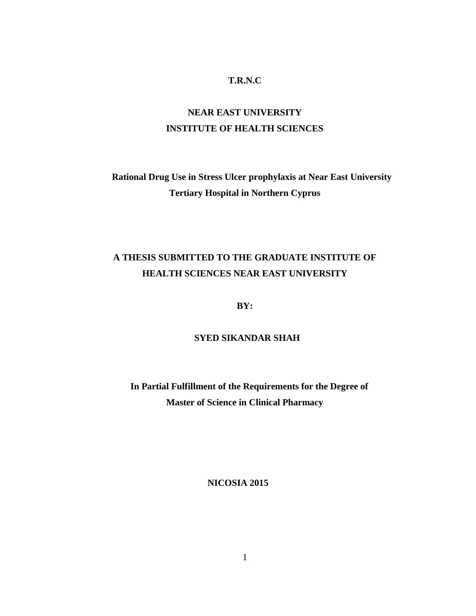#### **T.R.N.C**

# **NEAR EAST UNIVERSITY INSTITUTE OF HEALTH SCIENCES**

# **Rational Drug Use in Stress Ulcer prophylaxis at Near East University Tertiary Hospital in Northern Cyprus**

# **A THESIS SUBMITTED TO THE GRADUATE INSTITUTE OF HEALTH SCIENCES NEAR EAST UNIVERSITY**

**BY:**

#### **SYED SIKANDAR SHAH**

 **In Partial Fulfillment of the Requirements for the Degree of Master of Science in Clinical Pharmacy**

 **NICOSIA 2015**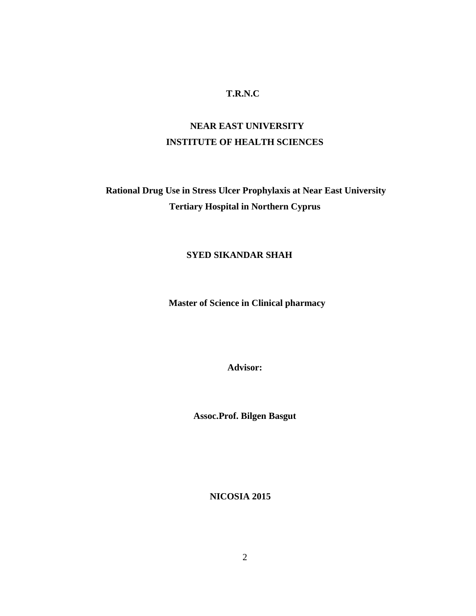#### **T.R.N.C**

# **NEAR EAST UNIVERSITY INSTITUTE OF HEALTH SCIENCES**

**Rational Drug Use in Stress Ulcer Prophylaxis at Near East University Tertiary Hospital in Northern Cyprus**

#### **SYED SIKANDAR SHAH**

 **Master of Science in Clinical pharmacy**

**Advisor:**

**Assoc.Prof. Bilgen Basgut**

 **NICOSIA 2015**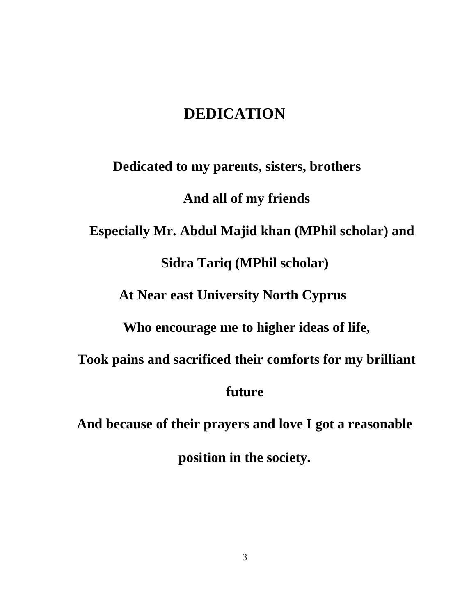# **DEDICATION**

 **Dedicated to my parents, sisters, brothers And all of my friends Especially Mr. Abdul Majid khan (MPhil scholar) and Sidra Tariq (MPhil scholar) At Near east University North Cyprus Who encourage me to higher ideas of life, Took pains and sacrificed their comforts for my brilliant future And because of their prayers and love I got a reasonable**

**position in the society.**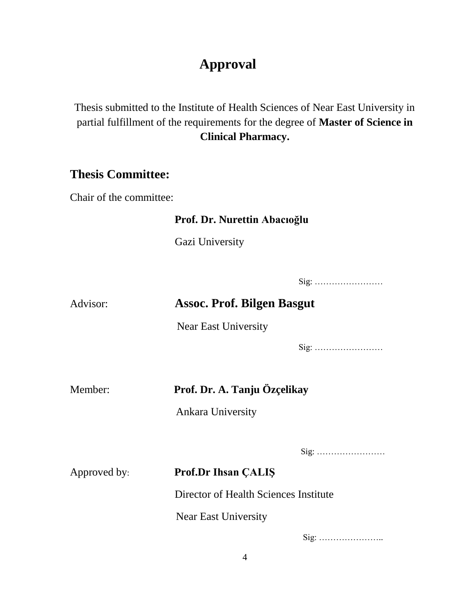# **Approval**

Thesis submitted to the Institute of Health Sciences of Near East University in partial fulfillment of the requirements for the degree of **Master of Science in Clinical Pharmacy.**

# **Thesis Committee:**

Chair of the committee:

# **Prof. Dr. Nurettin Abacıoğlu**

Gazi University

Sig: ……………………

# Advisor: **Assoc. Prof. Bilgen Basgut**

Near East University

Sig: ……………………

# Member: **Prof. Dr. A. Tanju Özçelikay**

Ankara University

Sig: ……………………

# Approved by: **Prof.Dr Ihsan ÇALIŞ** Director of Health Sciences Institute Near East University

Sig: …………………..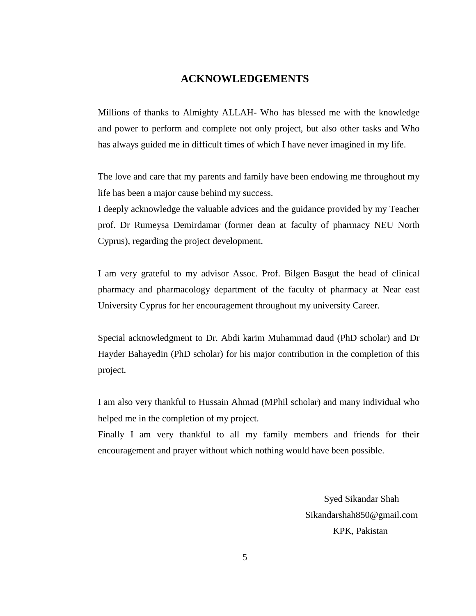#### **ACKNOWLEDGEMENTS**

Millions of thanks to Almighty ALLAH- Who has blessed me with the knowledge and power to perform and complete not only project, but also other tasks and Who has always guided me in difficult times of which I have never imagined in my life.

The love and care that my parents and family have been endowing me throughout my life has been a major cause behind my success.

I deeply acknowledge the valuable advices and the guidance provided by my Teacher prof. Dr Rumeysa Demirdamar (former dean at faculty of pharmacy NEU North Cyprus), regarding the project development.

I am very grateful to my advisor Assoc. Prof. Bilgen Basgut the head of clinical pharmacy and pharmacology department of the faculty of pharmacy at Near east University Cyprus for her encouragement throughout my university Career.

Special acknowledgment to Dr. Abdi karim Muhammad daud (PhD scholar) and Dr Hayder Bahayedin (PhD scholar) for his major contribution in the completion of this project.

I am also very thankful to Hussain Ahmad (MPhil scholar) and many individual who helped me in the completion of my project.

Finally I am very thankful to all my family members and friends for their encouragement and prayer without which nothing would have been possible.

> Syed Sikandar Shah Sikandarshah850@gmail.com KPK, Pakistan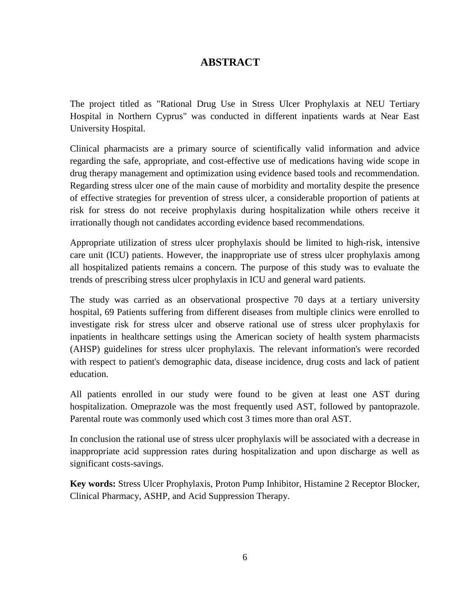# **ABSTRACT**

The project titled as "Rational Drug Use in Stress Ulcer Prophylaxis at NEU Tertiary Hospital in Northern Cyprus" was conducted in different inpatients wards at Near East University Hospital.

Clinical pharmacists are a primary source of scientifically valid information and advice regarding the safe, appropriate, and cost-effective use of medications having wide scope in drug therapy management and optimization using evidence based tools and recommendation. Regarding stress ulcer one of the main cause of morbidity and mortality despite the presence of effective strategies for prevention of stress ulcer, a considerable proportion of patients at risk for stress do not receive prophylaxis during hospitalization while others receive it irrationally though not candidates according evidence based recommendations.

Appropriate utilization of stress ulcer prophylaxis should be limited to high-risk, intensive care unit (ICU) patients. However, the inappropriate use of stress ulcer prophylaxis among all hospitalized patients remains a concern. The purpose of this study was to evaluate the trends of prescribing stress ulcer prophylaxis in ICU and general ward patients.

The study was carried as an observational prospective 70 days at a tertiary university hospital, 69 Patients suffering from different diseases from multiple clinics were enrolled to investigate risk for stress ulcer and observe rational use of stress ulcer prophylaxis for inpatients in healthcare settings using the American society of health system pharmacists (AHSP) guidelines for stress ulcer prophylaxis. The relevant information's were recorded with respect to patient's demographic data, disease incidence, drug costs and lack of patient education.

All patients enrolled in our study were found to be given at least one AST during hospitalization. Omeprazole was the most frequently used AST, followed by pantoprazole. Parental route was commonly used which cost 3 times more than oral AST.

In conclusion the rational use of stress ulcer prophylaxis will be associated with a decrease in inappropriate acid suppression rates during hospitalization and upon discharge as well as significant costs-savings.

**Key words:** Stress Ulcer Prophylaxis, Proton Pump Inhibitor, Histamine 2 Receptor Blocker, Clinical Pharmacy, ASHP, and Acid Suppression Therapy.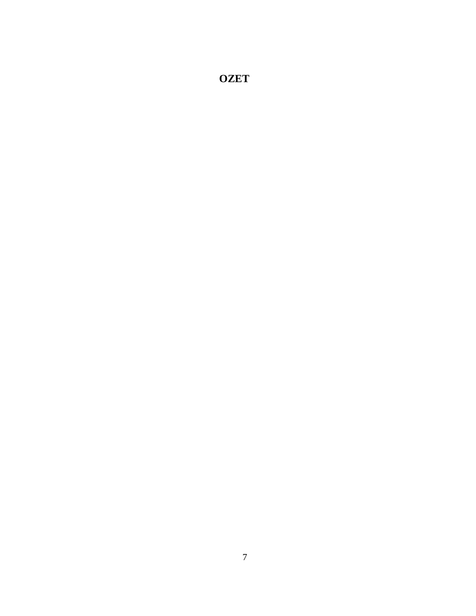**OZET**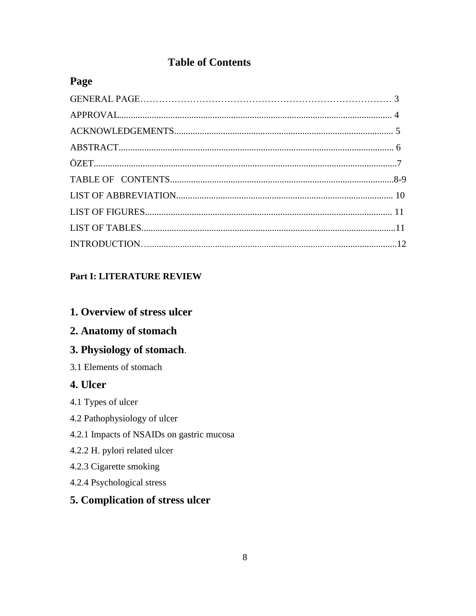# **Table of Contents**

# Page

# **Part I: LITERATURE REVIEW**

## 1. Overview of stress ulcer

# 2. Anatomy of stomach

# 3. Physiology of stomach.

3.1 Elements of stomach

# 4. Ulcer

- 4.1 Types of ulcer
- 4.2 Pathophysiology of ulcer
- 4.2.1 Impacts of NSAIDs on gastric mucosa
- 4.2.2 H. pylori related ulcer
- 4.2.3 Cigarette smoking
- 4.2.4 Psychological stress

# 5. Complication of stress ulcer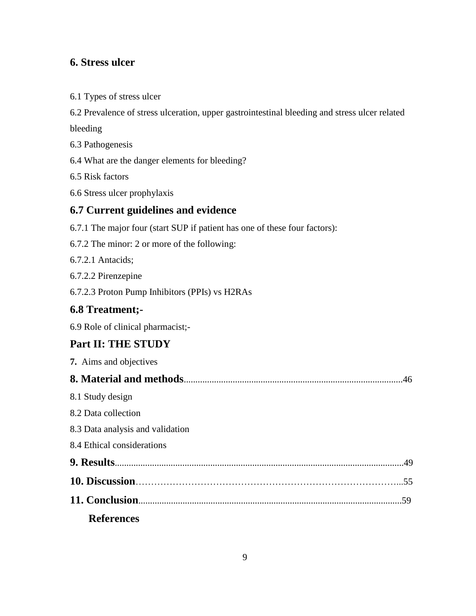# **6. Stress ulcer**

|  | 6.1 Types of stress ulcer |  |  |  |
|--|---------------------------|--|--|--|
|--|---------------------------|--|--|--|

6.2 Prevalence of stress ulceration, upper gastrointestinal bleeding and stress ulcer related

bleeding

- 6.3 Pathogenesis
- 6.4 What are the danger elements for bleeding?

6.5 Risk factors

6.6 Stress ulcer prophylaxis

#### **6.7 Current guidelines and evidence**

- 6.7.1 The major four (start SUP if patient has one of these four factors):
- 6.7.2 The minor: 2 or more of the following:
- 6.7.2.1 Antacids;
- 6.7.2.2 Pirenzepine
- 6.7.2.3 Proton Pump Inhibitors (PPIs) vs H2RAs

# **6.8 Treatment;-**

6.9 Role of clinical pharmacist;-

# **Part II: THE STUDY**

| 7. Aims and objectives           |  |
|----------------------------------|--|
|                                  |  |
| 8.1 Study design                 |  |
| 8.2 Data collection              |  |
| 8.3 Data analysis and validation |  |
| 8.4 Ethical considerations       |  |
|                                  |  |
|                                  |  |
|                                  |  |
| <b>References</b>                |  |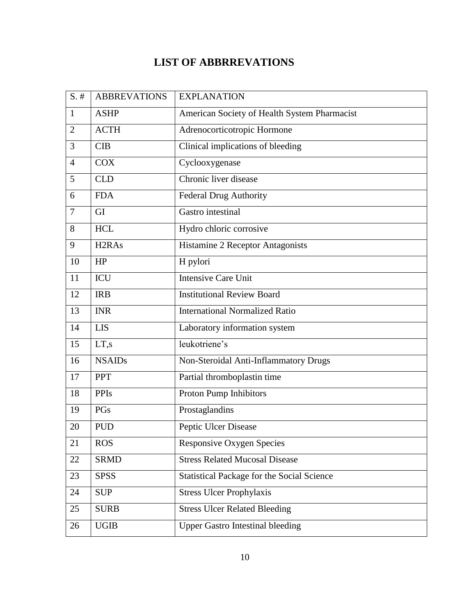# **LIST OF ABBRREVATIONS**

| $S.$ #         | <b>ABBREVATIONS</b>            | <b>EXPLANATION</b>                                |
|----------------|--------------------------------|---------------------------------------------------|
| $\mathbf{1}$   | <b>ASHP</b>                    | American Society of Health System Pharmacist      |
| $\overline{2}$ | <b>ACTH</b>                    | Adrenocorticotropic Hormone                       |
| 3              | <b>CIB</b>                     | Clinical implications of bleeding                 |
| $\overline{4}$ | <b>COX</b>                     | Cyclooxygenase                                    |
| 5              | <b>CLD</b>                     | Chronic liver disease                             |
| 6              | <b>FDA</b>                     | <b>Federal Drug Authority</b>                     |
| $\tau$         | GI                             | Gastro intestinal                                 |
| 8              | <b>HCL</b>                     | Hydro chloric corrosive                           |
| 9              | H <sub>2</sub> RA <sub>s</sub> | Histamine 2 Receptor Antagonists                  |
| 10             | HP                             | H pylori                                          |
| 11             | <b>ICU</b>                     | <b>Intensive Care Unit</b>                        |
| 12             | <b>IRB</b>                     | <b>Institutional Review Board</b>                 |
| 13             | <b>INR</b>                     | <b>International Normalized Ratio</b>             |
| 14             | <b>LIS</b>                     | Laboratory information system                     |
| 15             | LT,s                           | leukotriene's                                     |
| 16             | <b>NSAIDs</b>                  | Non-Steroidal Anti-Inflammatory Drugs             |
| 17             | PPT                            | Partial thromboplastin time                       |
| 18             | <b>PPIs</b>                    | Proton Pump Inhibitors                            |
| 19             | PGs                            | Prostaglandins                                    |
| 20             | <b>PUD</b>                     | Peptic Ulcer Disease                              |
| 21             | <b>ROS</b>                     | <b>Responsive Oxygen Species</b>                  |
| 22             | <b>SRMD</b>                    | <b>Stress Related Mucosal Disease</b>             |
| 23             | <b>SPSS</b>                    | <b>Statistical Package for the Social Science</b> |
| 24             | <b>SUP</b>                     | <b>Stress Ulcer Prophylaxis</b>                   |
| 25             | <b>SURB</b>                    | <b>Stress Ulcer Related Bleeding</b>              |
| 26             | <b>UGIB</b>                    | <b>Upper Gastro Intestinal bleeding</b>           |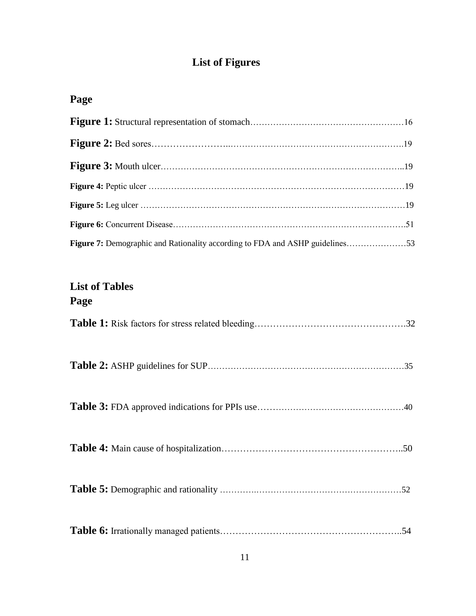# **List of Figures**

# **Page**

| Figure 7: Demographic and Rationality according to FDA and ASHP guidelines53 |  |
|------------------------------------------------------------------------------|--|

# **List of Tables Page**

| .54 |
|-----|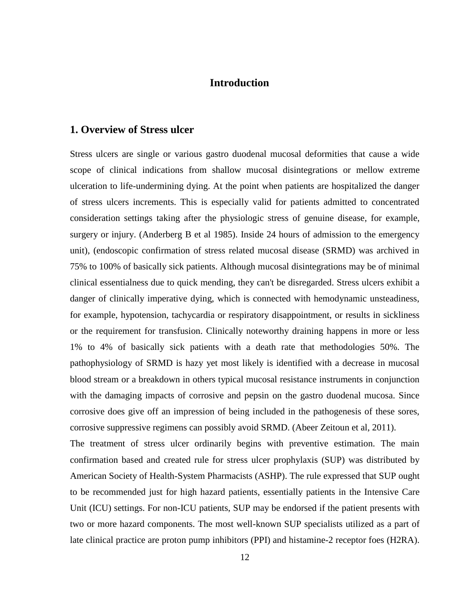### **Introduction**

#### **1. Overview of Stress ulcer**

Stress ulcers are single or various gastro duodenal mucosal deformities that cause a wide scope of clinical indications from shallow mucosal disintegrations or mellow extreme ulceration to life-undermining dying. At the point when patients are hospitalized the danger of stress ulcers increments. This is especially valid for patients admitted to concentrated consideration settings taking after the physiologic stress of genuine disease, for example, surgery or injury. (Anderberg B et al 1985). Inside 24 hours of admission to the emergency unit), (endoscopic confirmation of stress related mucosal disease (SRMD) was archived in 75% to 100% of basically sick patients. Although mucosal disintegrations may be of minimal clinical essentialness due to quick mending, they can't be disregarded. Stress ulcers exhibit a danger of clinically imperative dying, which is connected with hemodynamic unsteadiness, for example, hypotension, tachycardia or respiratory disappointment, or results in sickliness or the requirement for transfusion. Clinically noteworthy draining happens in more or less 1% to 4% of basically sick patients with a death rate that methodologies 50%. The pathophysiology of SRMD is hazy yet most likely is identified with a decrease in mucosal blood stream or a breakdown in others typical mucosal resistance instruments in conjunction with the damaging impacts of corrosive and pepsin on the gastro duodenal mucosa. Since corrosive does give off an impression of being included in the pathogenesis of these sores, corrosive suppressive regimens can possibly avoid SRMD. (Abeer Zeitoun et al, 2011).

The treatment of stress ulcer ordinarily begins with preventive estimation. The main confirmation based and created rule for stress ulcer prophylaxis (SUP) was distributed by American Society of Health-System Pharmacists (ASHP). The rule expressed that SUP ought to be recommended just for high hazard patients, essentially patients in the Intensive Care Unit (ICU) settings. For non-ICU patients, SUP may be endorsed if the patient presents with two or more hazard components. The most well-known SUP specialists utilized as a part of late clinical practice are proton pump inhibitors (PPI) and histamine-2 receptor foes (H2RA).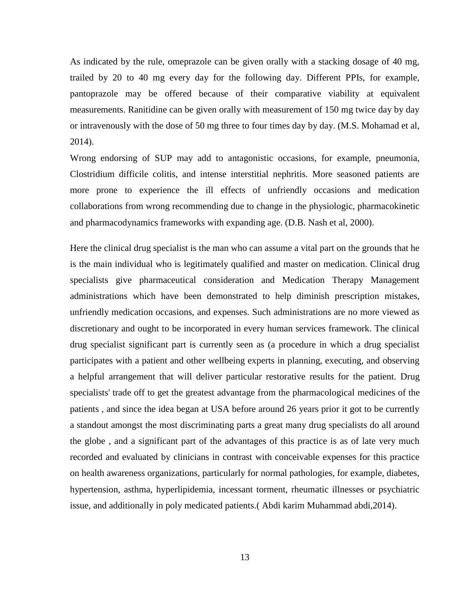As indicated by the rule, omeprazole can be given orally with a stacking dosage of 40 mg, trailed by 20 to 40 mg every day for the following day. Different PPIs, for example, pantoprazole may be offered because of their comparative viability at equivalent measurements. Ranitidine can be given orally with measurement of 150 mg twice day by day or intravenously with the dose of 50 mg three to four times day by day. (M.S. Mohamad et al, 2014).

Wrong endorsing of SUP may add to antagonistic occasions, for example, pneumonia, Clostridium difficile colitis, and intense interstitial nephritis. More seasoned patients are more prone to experience the ill effects of unfriendly occasions and medication collaborations from wrong recommending due to change in the physiologic, pharmacokinetic and pharmacodynamics frameworks with expanding age. (D.B. Nash et al, 2000).

Here the clinical drug specialist is the man who can assume a vital part on the grounds that he is the main individual who is legitimately qualified and master on medication. Clinical drug specialists give pharmaceutical consideration and Medication Therapy Management administrations which have been demonstrated to help diminish prescription mistakes, unfriendly medication occasions, and expenses. Such administrations are no more viewed as discretionary and ought to be incorporated in every human services framework. The clinical drug specialist significant part is currently seen as (a procedure in which a drug specialist participates with a patient and other wellbeing experts in planning, executing, and observing a helpful arrangement that will deliver particular restorative results for the patient. Drug specialists' trade off to get the greatest advantage from the pharmacological medicines of the patients , and since the idea began at USA before around 26 years prior it got to be currently a standout amongst the most discriminating parts a great many drug specialists do all around the globe , and a significant part of the advantages of this practice is as of late very much recorded and evaluated by clinicians in contrast with conceivable expenses for this practice on health awareness organizations, particularly for normal pathologies, for example, diabetes, hypertension, asthma, hyperlipidemia, incessant torment, rheumatic illnesses or psychiatric issue, and additionally in poly medicated patients.( Abdi karim Muhammad abdi,2014).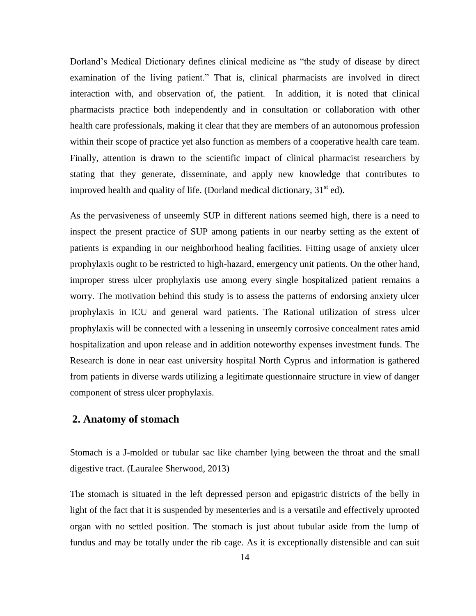Dorland's Medical Dictionary defines clinical medicine as "the study of disease by direct examination of the living patient." That is, clinical pharmacists are involved in direct interaction with, and observation of, the patient. In addition, it is noted that clinical pharmacists practice both independently and in consultation or collaboration with other health care professionals, making it clear that they are members of an autonomous profession within their scope of practice yet also function as members of a cooperative health care team. Finally, attention is drawn to the scientific impact of clinical pharmacist researchers by stating that they generate, disseminate, and apply new knowledge that contributes to improved health and quality of life. (Dorland medical dictionary,  $31<sup>st</sup>$  ed).

As the pervasiveness of unseemly SUP in different nations seemed high, there is a need to inspect the present practice of SUP among patients in our nearby setting as the extent of patients is expanding in our neighborhood healing facilities. Fitting usage of anxiety ulcer prophylaxis ought to be restricted to high-hazard, emergency unit patients. On the other hand, improper stress ulcer prophylaxis use among every single hospitalized patient remains a worry. The motivation behind this study is to assess the patterns of endorsing anxiety ulcer prophylaxis in ICU and general ward patients. The Rational utilization of stress ulcer prophylaxis will be connected with a lessening in unseemly corrosive concealment rates amid hospitalization and upon release and in addition noteworthy expenses investment funds. The Research is done in near east university hospital North Cyprus and information is gathered from patients in diverse wards utilizing a legitimate questionnaire structure in view of danger component of stress ulcer prophylaxis.

#### **2. Anatomy of stomach**

Stomach is a J-molded or tubular sac like chamber lying between the throat and the small digestive tract. (Lauralee Sherwood, 2013)

The stomach is situated in the left depressed person and epigastric districts of the belly in light of the fact that it is suspended by mesenteries and is a versatile and effectively uprooted organ with no settled position. The stomach is just about tubular aside from the lump of fundus and may be totally under the rib cage. As it is exceptionally distensible and can suit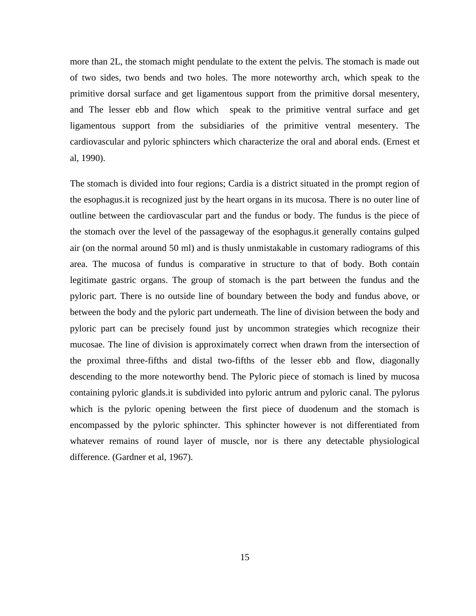more than 2L, the stomach might pendulate to the extent the pelvis. The stomach is made out of two sides, two bends and two holes. The more noteworthy arch, which speak to the primitive dorsal surface and get ligamentous support from the primitive dorsal mesentery, and The lesser ebb and flow which speak to the primitive ventral surface and get ligamentous support from the subsidiaries of the primitive ventral mesentery. The cardiovascular and pyloric sphincters which characterize the oral and aboral ends. (Ernest et al, 1990).

The stomach is divided into four regions; Cardia is a district situated in the prompt region of the esophagus.it is recognized just by the heart organs in its mucosa. There is no outer line of outline between the cardiovascular part and the fundus or body. The fundus is the piece of the stomach over the level of the passageway of the esophagus.it generally contains gulped air (on the normal around 50 ml) and is thusly unmistakable in customary radiograms of this area. The mucosa of fundus is comparative in structure to that of body. Both contain legitimate gastric organs. The group of stomach is the part between the fundus and the pyloric part. There is no outside line of boundary between the body and fundus above, or between the body and the pyloric part underneath. The line of division between the body and pyloric part can be precisely found just by uncommon strategies which recognize their mucosae. The line of division is approximately correct when drawn from the intersection of the proximal three-fifths and distal two-fifths of the lesser ebb and flow, diagonally descending to the more noteworthy bend. The Pyloric piece of stomach is lined by mucosa containing pyloric glands.it is subdivided into pyloric antrum and pyloric canal. The pylorus which is the pyloric opening between the first piece of duodenum and the stomach is encompassed by the pyloric sphincter. This sphincter however is not differentiated from whatever remains of round layer of muscle, nor is there any detectable physiological difference. (Gardner et al, 1967).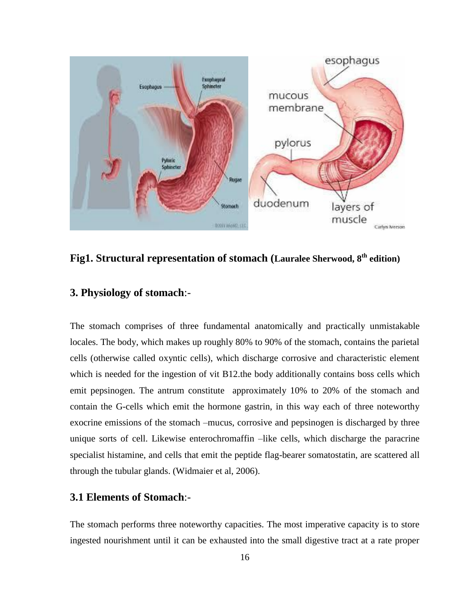

**Fig1. Structural representation of stomach (Lauralee Sherwood, 8th edition)**

### **3. Physiology of stomach**:-

The stomach comprises of three fundamental anatomically and practically unmistakable locales. The body, which makes up roughly 80% to 90% of the stomach, contains the parietal cells (otherwise called oxyntic cells), which discharge corrosive and characteristic element which is needed for the ingestion of vit B12.the body additionally contains boss cells which emit pepsinogen. The antrum constitute approximately 10% to 20% of the stomach and contain the G-cells which emit the hormone gastrin, in this way each of three noteworthy exocrine emissions of the stomach –mucus, corrosive and pepsinogen is discharged by three unique sorts of cell. Likewise enterochromaffin –like cells, which discharge the paracrine specialist histamine, and cells that emit the peptide flag-bearer somatostatin, are scattered all through the tubular glands. (Widmaier et al, 2006).

#### **3.1 Elements of Stomach**:-

The stomach performs three noteworthy capacities. The most imperative capacity is to store ingested nourishment until it can be exhausted into the small digestive tract at a rate proper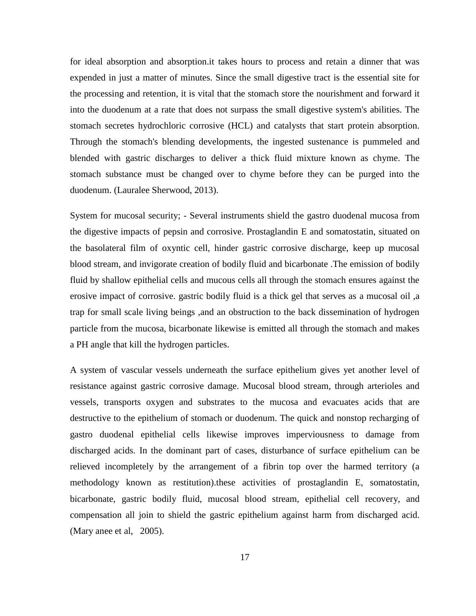for ideal absorption and absorption.it takes hours to process and retain a dinner that was expended in just a matter of minutes. Since the small digestive tract is the essential site for the processing and retention, it is vital that the stomach store the nourishment and forward it into the duodenum at a rate that does not surpass the small digestive system's abilities. The stomach secretes hydrochloric corrosive (HCL) and catalysts that start protein absorption. Through the stomach's blending developments, the ingested sustenance is pummeled and blended with gastric discharges to deliver a thick fluid mixture known as chyme. The stomach substance must be changed over to chyme before they can be purged into the duodenum. (Lauralee Sherwood, 2013).

System for mucosal security; - Several instruments shield the gastro duodenal mucosa from the digestive impacts of pepsin and corrosive. Prostaglandin E and somatostatin, situated on the basolateral film of oxyntic cell, hinder gastric corrosive discharge, keep up mucosal blood stream, and invigorate creation of bodily fluid and bicarbonate .The emission of bodily fluid by shallow epithelial cells and mucous cells all through the stomach ensures against the erosive impact of corrosive. gastric bodily fluid is a thick gel that serves as a mucosal oil ,a trap for small scale living beings ,and an obstruction to the back dissemination of hydrogen particle from the mucosa, bicarbonate likewise is emitted all through the stomach and makes a PH angle that kill the hydrogen particles.

A system of vascular vessels underneath the surface epithelium gives yet another level of resistance against gastric corrosive damage. Mucosal blood stream, through arterioles and vessels, transports oxygen and substrates to the mucosa and evacuates acids that are destructive to the epithelium of stomach or duodenum. The quick and nonstop recharging of gastro duodenal epithelial cells likewise improves imperviousness to damage from discharged acids. In the dominant part of cases, disturbance of surface epithelium can be relieved incompletely by the arrangement of a fibrin top over the harmed territory (a methodology known as restitution).these activities of prostaglandin E, somatostatin, bicarbonate, gastric bodily fluid, mucosal blood stream, epithelial cell recovery, and compensation all join to shield the gastric epithelium against harm from discharged acid. (Mary anee et al, 2005).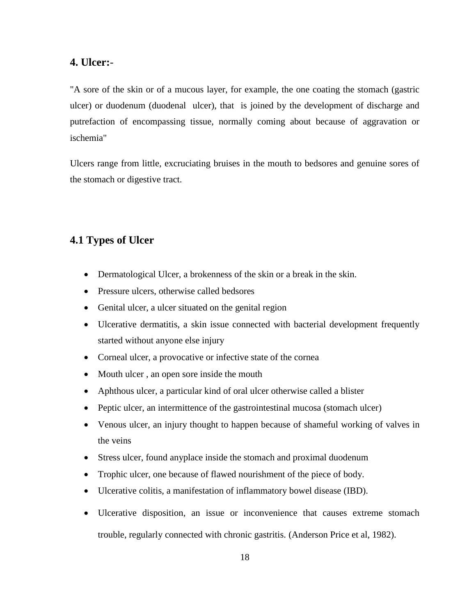#### **4. Ulcer:**-

"A sore of the skin or of a mucous layer, for example, the one coating the stomach (gastric ulcer) or duodenum (duodenal ulcer), that is joined by the development of discharge and putrefaction of encompassing tissue, normally coming about because of aggravation or ischemia"

Ulcers range from little, excruciating bruises in the mouth to bedsores and genuine sores of the stomach or digestive tract.

# **4.1 Types of Ulcer**

- Dermatological Ulcer, a brokenness of the skin or a break in the skin.
- Pressure ulcers, otherwise called bedsores
- Genital ulcer, a ulcer situated on the genital region
- Ulcerative dermatitis, a skin issue connected with bacterial development frequently started without anyone else injury
- Corneal ulcer, a provocative or infective state of the cornea
- Mouth ulcer, an open sore inside the mouth
- Aphthous ulcer, a particular kind of oral ulcer otherwise called a blister
- Peptic ulcer, an intermittence of the gastrointestinal mucosa (stomach ulcer)
- Venous ulcer, an injury thought to happen because of shameful working of valves in the veins
- Stress ulcer, found any place inside the stomach and proximal duodenum
- Trophic ulcer, one because of flawed nourishment of the piece of body.
- Ulcerative colitis, a manifestation of inflammatory bowel disease (IBD).
- Ulcerative disposition, an issue or inconvenience that causes extreme stomach trouble, regularly connected with chronic gastritis. (Anderson Price et al, 1982).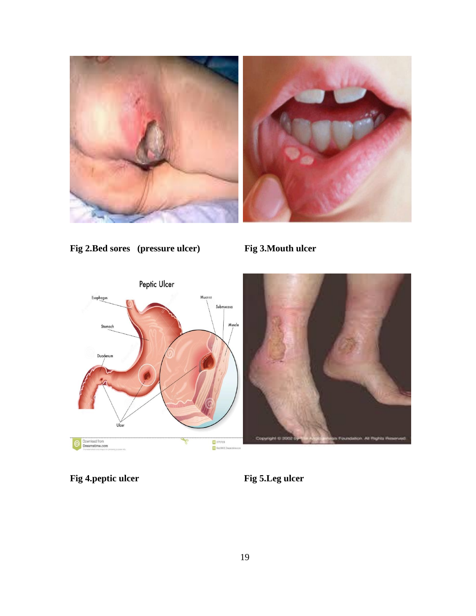



**Fig 2.Bed sores (pressure ulcer) Fig 3.Mouth ulcer**



**Fig 4.peptic ulcer** Fig 5. Leg ulcer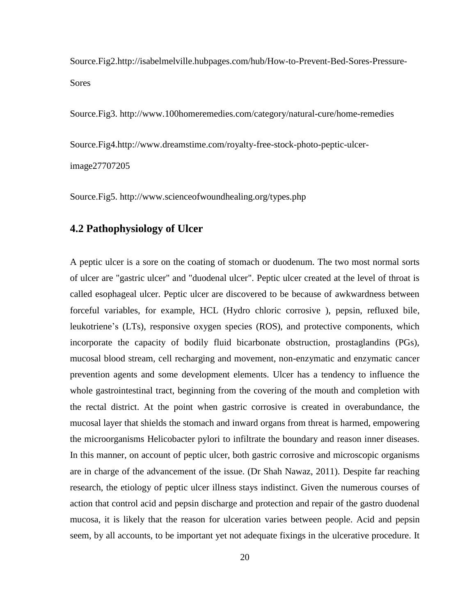Source.Fig2.http://isabelmelville.hubpages.com/hub/How-to-Prevent-Bed-Sores-Pressure-**Sores** 

Source.Fig3. http://www.100homeremedies.com/category/natural-cure/home-remedies

Source.Fig4.http://www.dreamstime.com/royalty-free-stock-photo-peptic-ulcer-

image27707205

Source.Fig5. http://www.scienceofwoundhealing.org/types.php

# **4.2 Pathophysiology of Ulcer**

A peptic ulcer is a sore on the coating of stomach or duodenum. The two most normal sorts of ulcer are "gastric ulcer" and "duodenal ulcer". Peptic ulcer created at the level of throat is called esophageal ulcer. Peptic ulcer are discovered to be because of awkwardness between forceful variables, for example, HCL (Hydro chloric corrosive ), pepsin, refluxed bile, leukotriene's (LTs), responsive oxygen species (ROS), and protective components, which incorporate the capacity of bodily fluid bicarbonate obstruction, prostaglandins (PGs), mucosal blood stream, cell recharging and movement, non-enzymatic and enzymatic cancer prevention agents and some development elements. Ulcer has a tendency to influence the whole gastrointestinal tract, beginning from the covering of the mouth and completion with the rectal district. At the point when gastric corrosive is created in overabundance, the mucosal layer that shields the stomach and inward organs from threat is harmed, empowering the microorganisms Helicobacter pylori to infiltrate the boundary and reason inner diseases. In this manner, on account of peptic ulcer, both gastric corrosive and microscopic organisms are in charge of the advancement of the issue. (Dr Shah Nawaz, 2011). Despite far reaching research, the etiology of peptic ulcer illness stays indistinct. Given the numerous courses of action that control acid and pepsin discharge and protection and repair of the gastro duodenal mucosa, it is likely that the reason for ulceration varies between people. Acid and pepsin seem, by all accounts, to be important yet not adequate fixings in the ulcerative procedure. It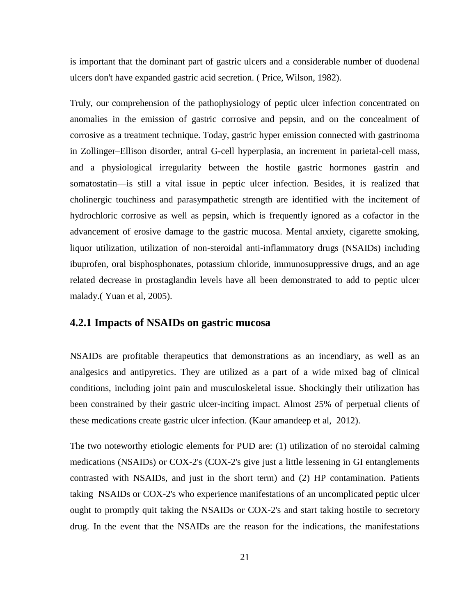is important that the dominant part of gastric ulcers and a considerable number of duodenal ulcers don't have expanded gastric acid secretion. ( Price, Wilson, 1982).

Truly, our comprehension of the pathophysiology of peptic ulcer infection concentrated on anomalies in the emission of gastric corrosive and pepsin, and on the concealment of corrosive as a treatment technique. Today, gastric hyper emission connected with gastrinoma in Zollinger–Ellison disorder, antral G-cell hyperplasia, an increment in parietal-cell mass, and a physiological irregularity between the hostile gastric hormones gastrin and somatostatin—is still a vital issue in peptic ulcer infection. Besides, it is realized that cholinergic touchiness and parasympathetic strength are identified with the incitement of hydrochloric corrosive as well as pepsin, which is frequently ignored as a cofactor in the advancement of erosive damage to the gastric mucosa. Mental anxiety, cigarette smoking, liquor utilization, utilization of non-steroidal anti-inflammatory drugs (NSAIDs) including ibuprofen, oral bisphosphonates, potassium chloride, immunosuppressive drugs, and an age related decrease in prostaglandin levels have all been demonstrated to add to peptic ulcer malady.( Yuan et al, 2005).

#### **4.2.1 Impacts of NSAIDs on gastric mucosa**

NSAIDs are profitable therapeutics that demonstrations as an incendiary, as well as an analgesics and antipyretics. They are utilized as a part of a wide mixed bag of clinical conditions, including joint pain and musculoskeletal issue. Shockingly their utilization has been constrained by their gastric ulcer-inciting impact. Almost 25% of perpetual clients of these medications create gastric ulcer infection. (Kaur amandeep et al, 2012).

The two noteworthy etiologic elements for PUD are: (1) utilization of no steroidal calming medications (NSAIDs) or COX-2's (COX-2's give just a little lessening in GI entanglements contrasted with NSAIDs, and just in the short term) and (2) HP contamination. Patients taking NSAIDs or COX-2's who experience manifestations of an uncomplicated peptic ulcer ought to promptly quit taking the NSAIDs or COX-2's and start taking hostile to secretory drug. In the event that the NSAIDs are the reason for the indications, the manifestations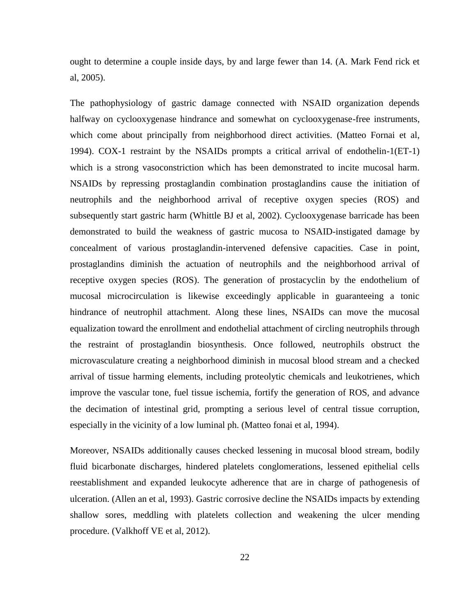ought to determine a couple inside days, by and large fewer than 14. (A. Mark Fend rick et al, 2005).

The pathophysiology of gastric damage connected with NSAID organization depends halfway on cyclooxygenase hindrance and somewhat on cyclooxygenase-free instruments, which come about principally from neighborhood direct activities. (Matteo Fornai et al, 1994). COX-1 restraint by the NSAIDs prompts a critical arrival of endothelin-1(ET-1) which is a strong vasoconstriction which has been demonstrated to incite mucosal harm. NSAIDs by repressing prostaglandin combination prostaglandins cause the initiation of neutrophils and the neighborhood arrival of receptive oxygen species (ROS) and subsequently start gastric harm (Whittle BJ et al, 2002). Cyclooxygenase barricade has been demonstrated to build the weakness of gastric mucosa to NSAID-instigated damage by concealment of various prostaglandin-intervened defensive capacities. Case in point, prostaglandins diminish the actuation of neutrophils and the neighborhood arrival of receptive oxygen species (ROS). The generation of prostacyclin by the endothelium of mucosal microcirculation is likewise exceedingly applicable in guaranteeing a tonic hindrance of neutrophil attachment. Along these lines, NSAIDs can move the mucosal equalization toward the enrollment and endothelial attachment of circling neutrophils through the restraint of prostaglandin biosynthesis. Once followed, neutrophils obstruct the microvasculature creating a neighborhood diminish in mucosal blood stream and a checked arrival of tissue harming elements, including proteolytic chemicals and leukotrienes, which improve the vascular tone, fuel tissue ischemia, fortify the generation of ROS, and advance the decimation of intestinal grid, prompting a serious level of central tissue corruption, especially in the vicinity of a low luminal ph. (Matteo fonai et al, 1994).

Moreover, NSAIDs additionally causes checked lessening in mucosal blood stream, bodily fluid bicarbonate discharges, hindered platelets conglomerations, lessened epithelial cells reestablishment and expanded leukocyte adherence that are in charge of pathogenesis of ulceration. (Allen an et al, 1993). Gastric corrosive decline the NSAIDs impacts by extending shallow sores, meddling with platelets collection and weakening the ulcer mending procedure. (Valkhoff VE et al, 2012).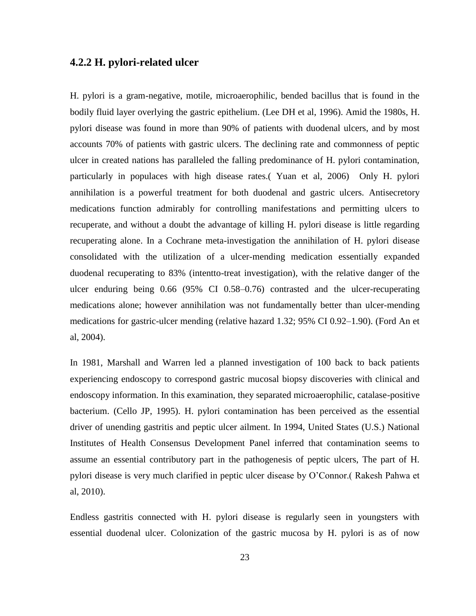#### **4.2.2 H. pylori-related ulcer**

H. pylori is a gram-negative, motile, microaerophilic, bended bacillus that is found in the bodily fluid layer overlying the gastric epithelium. (Lee DH et al, 1996). Amid the 1980s, H. pylori disease was found in more than 90% of patients with duodenal ulcers, and by most accounts 70% of patients with gastric ulcers. The declining rate and commonness of peptic ulcer in created nations has paralleled the falling predominance of H. pylori contamination, particularly in populaces with high disease rates.( Yuan et al, 2006) Only H. pylori annihilation is a powerful treatment for both duodenal and gastric ulcers. Antisecretory medications function admirably for controlling manifestations and permitting ulcers to recuperate, and without a doubt the advantage of killing H. pylori disease is little regarding recuperating alone. In a Cochrane meta-investigation the annihilation of H. pylori disease consolidated with the utilization of a ulcer-mending medication essentially expanded duodenal recuperating to 83% (intentto-treat investigation), with the relative danger of the ulcer enduring being 0.66 (95% CI 0.58–0.76) contrasted and the ulcer-recuperating medications alone; however annihilation was not fundamentally better than ulcer-mending medications for gastric-ulcer mending (relative hazard 1.32; 95% CI 0.92–1.90). (Ford An et al, 2004).

In 1981, Marshall and Warren led a planned investigation of 100 back to back patients experiencing endoscopy to correspond gastric mucosal biopsy discoveries with clinical and endoscopy information. In this examination, they separated microaerophilic, catalase-positive bacterium. (Cello JP, 1995). H. pylori contamination has been perceived as the essential driver of unending gastritis and peptic ulcer ailment. In 1994, United States (U.S.) National Institutes of Health Consensus Development Panel inferred that contamination seems to assume an essential contributory part in the pathogenesis of peptic ulcers, The part of H. pylori disease is very much clarified in peptic ulcer disease by O'Connor.( Rakesh Pahwa et al, 2010).

Endless gastritis connected with H. pylori disease is regularly seen in youngsters with essential duodenal ulcer. Colonization of the gastric mucosa by H. pylori is as of now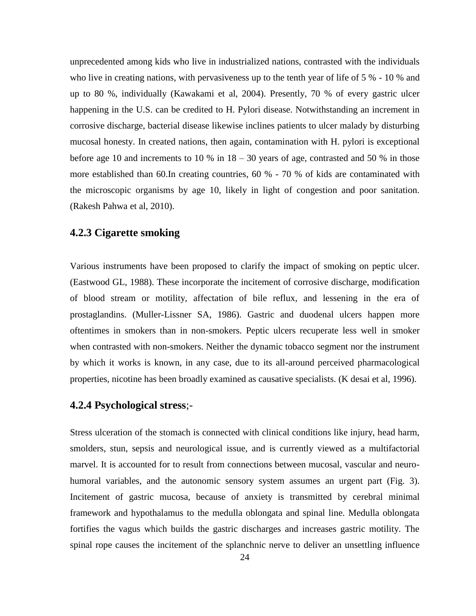unprecedented among kids who live in industrialized nations, contrasted with the individuals who live in creating nations, with pervasiveness up to the tenth year of life of 5 % - 10 % and up to 80 %, individually (Kawakami et al, 2004). Presently, 70 % of every gastric ulcer happening in the U.S. can be credited to H. Pylori disease. Notwithstanding an increment in corrosive discharge, bacterial disease likewise inclines patients to ulcer malady by disturbing mucosal honesty. In created nations, then again, contamination with H. pylori is exceptional before age 10 and increments to 10 % in  $18 - 30$  years of age, contrasted and 50 % in those more established than 60.In creating countries, 60 % - 70 % of kids are contaminated with the microscopic organisms by age 10, likely in light of congestion and poor sanitation. (Rakesh Pahwa et al, 2010).

#### **4.2.3 Cigarette smoking**

Various instruments have been proposed to clarify the impact of smoking on peptic ulcer. (Eastwood GL, 1988). These incorporate the incitement of corrosive discharge, modification of blood stream or motility, affectation of bile reflux, and lessening in the era of prostaglandins. (Muller-Lissner SA, 1986). Gastric and duodenal ulcers happen more oftentimes in smokers than in non-smokers. Peptic ulcers recuperate less well in smoker when contrasted with non-smokers. Neither the dynamic tobacco segment nor the instrument by which it works is known, in any case, due to its all-around perceived pharmacological properties, nicotine has been broadly examined as causative specialists. (K desai et al, 1996).

#### **4.2.4 Psychological stress**;-

Stress ulceration of the stomach is connected with clinical conditions like injury, head harm, smolders, stun, sepsis and neurological issue, and is currently viewed as a multifactorial marvel. It is accounted for to result from connections between mucosal, vascular and neurohumoral variables, and the autonomic sensory system assumes an urgent part (Fig. 3). Incitement of gastric mucosa, because of anxiety is transmitted by cerebral minimal framework and hypothalamus to the medulla oblongata and spinal line. Medulla oblongata fortifies the vagus which builds the gastric discharges and increases gastric motility. The spinal rope causes the incitement of the splanchnic nerve to deliver an unsettling influence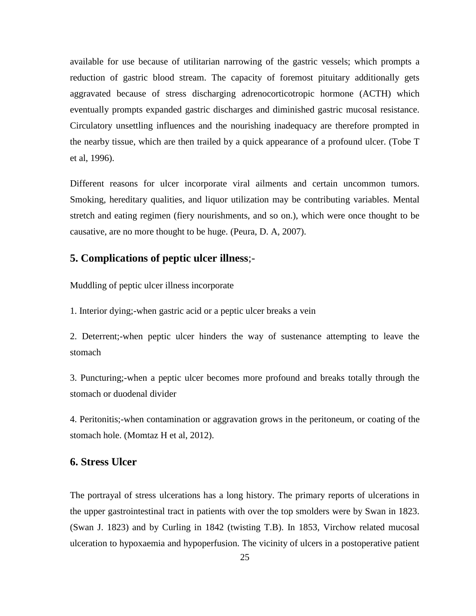available for use because of utilitarian narrowing of the gastric vessels; which prompts a reduction of gastric blood stream. The capacity of foremost pituitary additionally gets aggravated because of stress discharging adrenocorticotropic hormone (ACTH) which eventually prompts expanded gastric discharges and diminished gastric mucosal resistance. Circulatory unsettling influences and the nourishing inadequacy are therefore prompted in the nearby tissue, which are then trailed by a quick appearance of a profound ulcer. (Tobe T et al, 1996).

Different reasons for ulcer incorporate viral ailments and certain uncommon tumors. Smoking, hereditary qualities, and liquor utilization may be contributing variables. Mental stretch and eating regimen (fiery nourishments, and so on.), which were once thought to be causative, are no more thought to be huge. (Peura, D. A, 2007).

# **5. Complications of peptic ulcer illness**;-

Muddling of peptic ulcer illness incorporate

1. Interior dying;-when gastric acid or a peptic ulcer breaks a vein

2. Deterrent;-when peptic ulcer hinders the way of sustenance attempting to leave the stomach

3. Puncturing;-when a peptic ulcer becomes more profound and breaks totally through the stomach or duodenal divider

4. Peritonitis;-when contamination or aggravation grows in the peritoneum, or coating of the stomach hole. (Momtaz H et al, 2012).

#### **6. Stress Ulcer**

The portrayal of stress ulcerations has a long history. The primary reports of ulcerations in the upper gastrointestinal tract in patients with over the top smolders were by Swan in 1823. (Swan J. 1823) and by Curling in 1842 (twisting T.B). In 1853, Virchow related mucosal ulceration to hypoxaemia and hypoperfusion. The vicinity of ulcers in a postoperative patient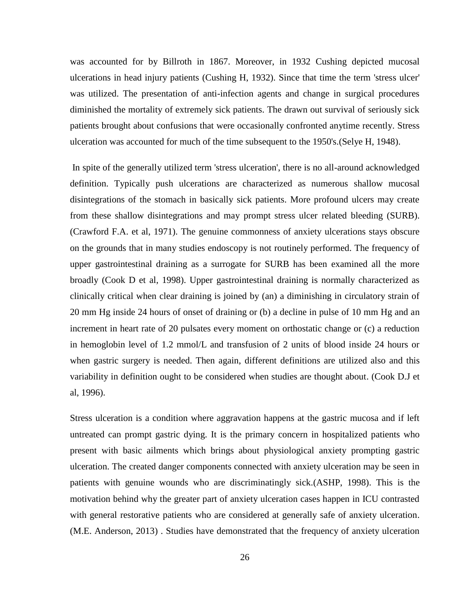was accounted for by Billroth in 1867. Moreover, in 1932 Cushing depicted mucosal ulcerations in head injury patients (Cushing H, 1932). Since that time the term 'stress ulcer' was utilized. The presentation of anti-infection agents and change in surgical procedures diminished the mortality of extremely sick patients. The drawn out survival of seriously sick patients brought about confusions that were occasionally confronted anytime recently. Stress ulceration was accounted for much of the time subsequent to the 1950's.(Selye H, 1948).

In spite of the generally utilized term 'stress ulceration', there is no all-around acknowledged definition. Typically push ulcerations are characterized as numerous shallow mucosal disintegrations of the stomach in basically sick patients. More profound ulcers may create from these shallow disintegrations and may prompt stress ulcer related bleeding (SURB). (Crawford F.A. et al, 1971). The genuine commonness of anxiety ulcerations stays obscure on the grounds that in many studies endoscopy is not routinely performed. The frequency of upper gastrointestinal draining as a surrogate for SURB has been examined all the more broadly (Cook D et al, 1998). Upper gastrointestinal draining is normally characterized as clinically critical when clear draining is joined by (an) a diminishing in circulatory strain of 20 mm Hg inside 24 hours of onset of draining or (b) a decline in pulse of 10 mm Hg and an increment in heart rate of 20 pulsates every moment on orthostatic change or (c) a reduction in hemoglobin level of 1.2 mmol/L and transfusion of 2 units of blood inside 24 hours or when gastric surgery is needed. Then again, different definitions are utilized also and this variability in definition ought to be considered when studies are thought about. (Cook D.J et al, 1996).

Stress ulceration is a condition where aggravation happens at the gastric mucosa and if left untreated can prompt gastric dying. It is the primary concern in hospitalized patients who present with basic ailments which brings about physiological anxiety prompting gastric ulceration. The created danger components connected with anxiety ulceration may be seen in patients with genuine wounds who are discriminatingly sick.(ASHP, 1998). This is the motivation behind why the greater part of anxiety ulceration cases happen in ICU contrasted with general restorative patients who are considered at generally safe of anxiety ulceration. (M.E. Anderson, 2013) . Studies have demonstrated that the frequency of anxiety ulceration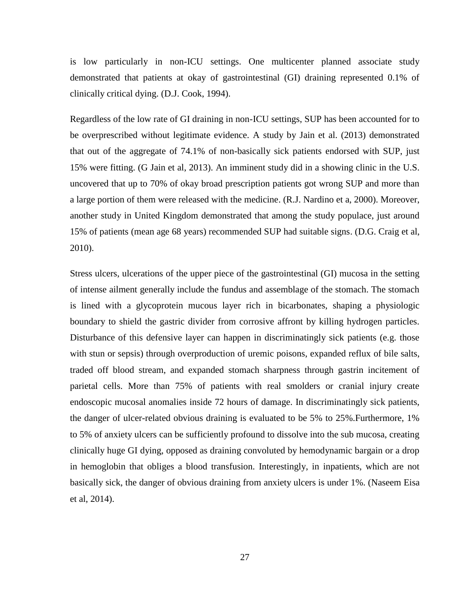is low particularly in non-ICU settings. One multicenter planned associate study demonstrated that patients at okay of gastrointestinal (GI) draining represented 0.1% of clinically critical dying. (D.J. Cook, 1994).

Regardless of the low rate of GI draining in non-ICU settings, SUP has been accounted for to be overprescribed without legitimate evidence. A study by Jain et al. (2013) demonstrated that out of the aggregate of 74.1% of non-basically sick patients endorsed with SUP, just 15% were fitting. (G Jain et al, 2013). An imminent study did in a showing clinic in the U.S. uncovered that up to 70% of okay broad prescription patients got wrong SUP and more than a large portion of them were released with the medicine. (R.J. Nardino et a, 2000). Moreover, another study in United Kingdom demonstrated that among the study populace, just around 15% of patients (mean age 68 years) recommended SUP had suitable signs. (D.G. Craig et al, 2010).

Stress ulcers, ulcerations of the upper piece of the gastrointestinal (GI) mucosa in the setting of intense ailment generally include the fundus and assemblage of the stomach. The stomach is lined with a glycoprotein mucous layer rich in bicarbonates, shaping a physiologic boundary to shield the gastric divider from corrosive affront by killing hydrogen particles. Disturbance of this defensive layer can happen in discriminatingly sick patients (e.g. those with stun or sepsis) through overproduction of uremic poisons, expanded reflux of bile salts, traded off blood stream, and expanded stomach sharpness through gastrin incitement of parietal cells. More than 75% of patients with real smolders or cranial injury create endoscopic mucosal anomalies inside 72 hours of damage. In discriminatingly sick patients, the danger of ulcer-related obvious draining is evaluated to be 5% to 25%.Furthermore, 1% to 5% of anxiety ulcers can be sufficiently profound to dissolve into the sub mucosa, creating clinically huge GI dying, opposed as draining convoluted by hemodynamic bargain or a drop in hemoglobin that obliges a blood transfusion. Interestingly, in inpatients, which are not basically sick, the danger of obvious draining from anxiety ulcers is under 1%. (Naseem Eisa et al, 2014).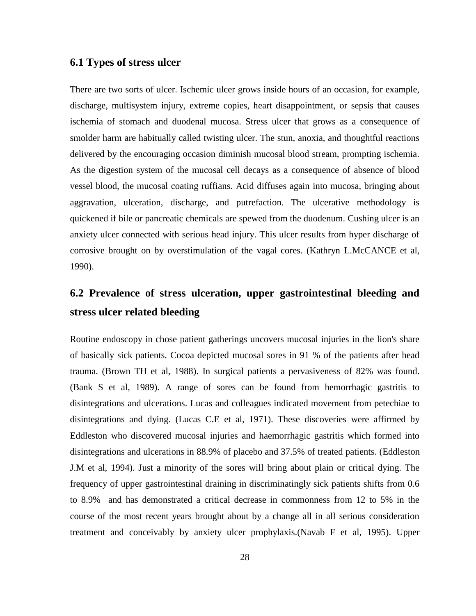#### **6.1 Types of stress ulcer**

There are two sorts of ulcer. Ischemic ulcer grows inside hours of an occasion, for example, discharge, multisystem injury, extreme copies, heart disappointment, or sepsis that causes ischemia of stomach and duodenal mucosa. Stress ulcer that grows as a consequence of smolder harm are habitually called twisting ulcer. The stun, anoxia, and thoughtful reactions delivered by the encouraging occasion diminish mucosal blood stream, prompting ischemia. As the digestion system of the mucosal cell decays as a consequence of absence of blood vessel blood, the mucosal coating ruffians. Acid diffuses again into mucosa, bringing about aggravation, ulceration, discharge, and putrefaction. The ulcerative methodology is quickened if bile or pancreatic chemicals are spewed from the duodenum. Cushing ulcer is an anxiety ulcer connected with serious head injury. This ulcer results from hyper discharge of corrosive brought on by overstimulation of the vagal cores. (Kathryn L.McCANCE et al, 1990).

# **6.2 Prevalence of stress ulceration, upper gastrointestinal bleeding and stress ulcer related bleeding**

Routine endoscopy in chose patient gatherings uncovers mucosal injuries in the lion's share of basically sick patients. Cocoa depicted mucosal sores in 91 % of the patients after head trauma. (Brown TH et al, 1988). In surgical patients a pervasiveness of 82% was found. (Bank S et al, 1989). A range of sores can be found from hemorrhagic gastritis to disintegrations and ulcerations. Lucas and colleagues indicated movement from petechiae to disintegrations and dying. (Lucas C.E et al, 1971). These discoveries were affirmed by Eddleston who discovered mucosal injuries and haemorrhagic gastritis which formed into disintegrations and ulcerations in 88.9% of placebo and 37.5% of treated patients. (Eddleston J.M et al, 1994). Just a minority of the sores will bring about plain or critical dying. The frequency of upper gastrointestinal draining in discriminatingly sick patients shifts from 0.6 to 8.9% and has demonstrated a critical decrease in commonness from 12 to 5% in the course of the most recent years brought about by a change all in all serious consideration treatment and conceivably by anxiety ulcer prophylaxis.(Navab F et al, 1995). Upper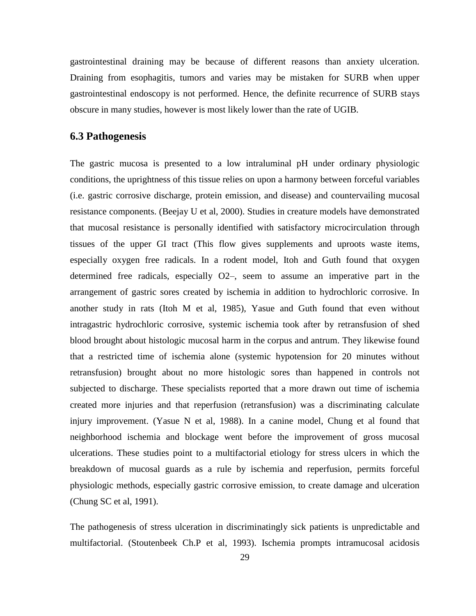gastrointestinal draining may be because of different reasons than anxiety ulceration. Draining from esophagitis, tumors and varies may be mistaken for SURB when upper gastrointestinal endoscopy is not performed. Hence, the definite recurrence of SURB stays obscure in many studies, however is most likely lower than the rate of UGIB.

#### **6.3 Pathogenesis**

The gastric mucosa is presented to a low intraluminal pH under ordinary physiologic conditions, the uprightness of this tissue relies on upon a harmony between forceful variables (i.e. gastric corrosive discharge, protein emission, and disease) and countervailing mucosal resistance components. (Beejay U et al, 2000). Studies in creature models have demonstrated that mucosal resistance is personally identified with satisfactory microcirculation through tissues of the upper GI tract (This flow gives supplements and uproots waste items, especially oxygen free radicals. In a rodent model, Itoh and Guth found that oxygen determined free radicals, especially O2–, seem to assume an imperative part in the arrangement of gastric sores created by ischemia in addition to hydrochloric corrosive. In another study in rats (Itoh M et al, 1985), Yasue and Guth found that even without intragastric hydrochloric corrosive, systemic ischemia took after by retransfusion of shed blood brought about histologic mucosal harm in the corpus and antrum. They likewise found that a restricted time of ischemia alone (systemic hypotension for 20 minutes without retransfusion) brought about no more histologic sores than happened in controls not subjected to discharge. These specialists reported that a more drawn out time of ischemia created more injuries and that reperfusion (retransfusion) was a discriminating calculate injury improvement. (Yasue N et al, 1988). In a canine model, Chung et al found that neighborhood ischemia and blockage went before the improvement of gross mucosal ulcerations. These studies point to a multifactorial etiology for stress ulcers in which the breakdown of mucosal guards as a rule by ischemia and reperfusion, permits forceful physiologic methods, especially gastric corrosive emission, to create damage and ulceration (Chung SC et al, 1991).

The pathogenesis of stress ulceration in discriminatingly sick patients is unpredictable and multifactorial. (Stoutenbeek Ch.P et al, 1993). Ischemia prompts intramucosal acidosis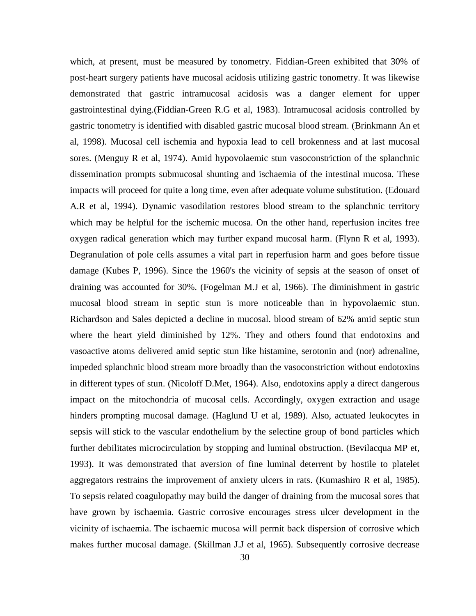which, at present, must be measured by tonometry. Fiddian-Green exhibited that 30% of post-heart surgery patients have mucosal acidosis utilizing gastric tonometry. It was likewise demonstrated that gastric intramucosal acidosis was a danger element for upper gastrointestinal dying.(Fiddian-Green R.G et al, 1983). Intramucosal acidosis controlled by gastric tonometry is identified with disabled gastric mucosal blood stream. (Brinkmann An et al, 1998). Mucosal cell ischemia and hypoxia lead to cell brokenness and at last mucosal sores. (Menguy R et al, 1974). Amid hypovolaemic stun vasoconstriction of the splanchnic dissemination prompts submucosal shunting and ischaemia of the intestinal mucosa. These impacts will proceed for quite a long time, even after adequate volume substitution. (Edouard A.R et al, 1994). Dynamic vasodilation restores blood stream to the splanchnic territory which may be helpful for the ischemic mucosa. On the other hand, reperfusion incites free oxygen radical generation which may further expand mucosal harm. (Flynn R et al, 1993). Degranulation of pole cells assumes a vital part in reperfusion harm and goes before tissue damage (Kubes P, 1996). Since the 1960's the vicinity of sepsis at the season of onset of draining was accounted for 30%. (Fogelman M.J et al, 1966). The diminishment in gastric mucosal blood stream in septic stun is more noticeable than in hypovolaemic stun. Richardson and Sales depicted a decline in mucosal. blood stream of 62% amid septic stun where the heart yield diminished by 12%. They and others found that endotoxins and vasoactive atoms delivered amid septic stun like histamine, serotonin and (nor) adrenaline, impeded splanchnic blood stream more broadly than the vasoconstriction without endotoxins in different types of stun. (Nicoloff D.Met, 1964). Also, endotoxins apply a direct dangerous impact on the mitochondria of mucosal cells. Accordingly, oxygen extraction and usage hinders prompting mucosal damage. (Haglund U et al, 1989). Also, actuated leukocytes in sepsis will stick to the vascular endothelium by the selectine group of bond particles which further debilitates microcirculation by stopping and luminal obstruction. (Bevilacqua MP et, 1993). It was demonstrated that aversion of fine luminal deterrent by hostile to platelet aggregators restrains the improvement of anxiety ulcers in rats. (Kumashiro R et al, 1985). To sepsis related coagulopathy may build the danger of draining from the mucosal sores that have grown by ischaemia. Gastric corrosive encourages stress ulcer development in the vicinity of ischaemia. The ischaemic mucosa will permit back dispersion of corrosive which makes further mucosal damage. (Skillman J.J et al, 1965). Subsequently corrosive decrease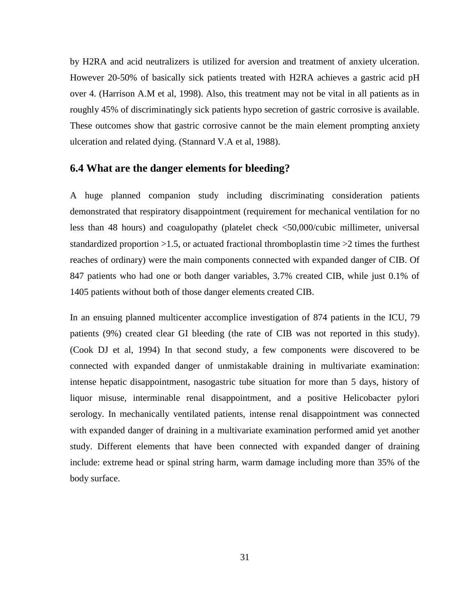by H2RA and acid neutralizers is utilized for aversion and treatment of anxiety ulceration. However 20-50% of basically sick patients treated with H2RA achieves a gastric acid pH over 4. (Harrison A.M et al, 1998). Also, this treatment may not be vital in all patients as in roughly 45% of discriminatingly sick patients hypo secretion of gastric corrosive is available. These outcomes show that gastric corrosive cannot be the main element prompting anxiety ulceration and related dying. (Stannard V.A et al, 1988).

### **6.4 What are the danger elements for bleeding?**

A huge planned companion study including discriminating consideration patients demonstrated that respiratory disappointment (requirement for mechanical ventilation for no less than 48 hours) and coagulopathy (platelet check <50,000/cubic millimeter, universal standardized proportion >1.5, or actuated fractional thromboplastin time >2 times the furthest reaches of ordinary) were the main components connected with expanded danger of CIB. Of 847 patients who had one or both danger variables, 3.7% created CIB, while just 0.1% of 1405 patients without both of those danger elements created CIB.

In an ensuing planned multicenter accomplice investigation of 874 patients in the ICU, 79 patients (9%) created clear GI bleeding (the rate of CIB was not reported in this study). (Cook DJ et al, 1994) In that second study, a few components were discovered to be connected with expanded danger of unmistakable draining in multivariate examination: intense hepatic disappointment, nasogastric tube situation for more than 5 days, history of liquor misuse, interminable renal disappointment, and a positive Helicobacter pylori serology. In mechanically ventilated patients, intense renal disappointment was connected with expanded danger of draining in a multivariate examination performed amid yet another study. Different elements that have been connected with expanded danger of draining include: extreme head or spinal string harm, warm damage including more than 35% of the body surface.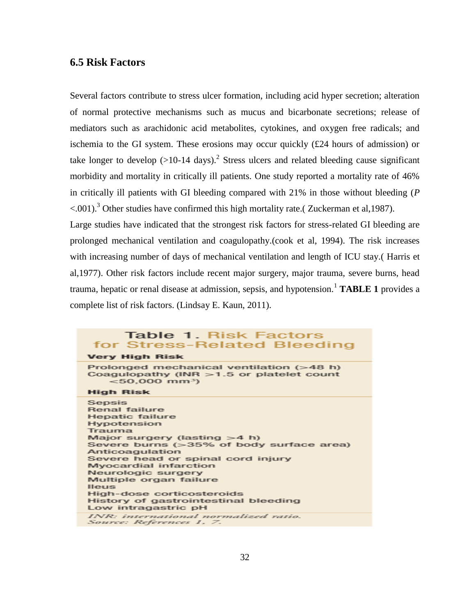#### **6.5 Risk Factors**

Several factors contribute to stress ulcer formation, including acid hyper secretion; alteration of normal protective mechanisms such as mucus and bicarbonate secretions; release of mediators such as arachidonic acid metabolites, cytokines, and oxygen free radicals; and ischemia to the GI system. These erosions may occur quickly (£24 hours of admission) or take longer to develop  $(>10-14 \text{ days})$ .<sup>2</sup> Stress ulcers and related bleeding cause significant morbidity and mortality in critically ill patients. One study reported a mortality rate of 46% in critically ill patients with GI bleeding compared with 21% in those without bleeding (*P*  $\leq 0.001$ ).<sup>3</sup> Other studies have confirmed this high mortality rate. (Zuckerman et al. 1987).

Large studies have indicated that the strongest risk factors for stress-related GI bleeding are prolonged mechanical ventilation and coagulopathy.(cook et al, 1994). The risk increases with increasing number of days of mechanical ventilation and length of ICU stay.( Harris et al,1977). Other risk factors include recent major surgery, major trauma, severe burns, head trauma, hepatic or renal disease at admission, sepsis, and hypotension.<sup>1</sup> **TABLE 1** provides a complete list of risk factors. (Lindsay E. Kaun, 2011).

#### Table 1. Risk Factors for Stress-Related Bleeding **Very High Risk** Prolonged mechanical ventilation (>48 h) Coagulopathy (INR >1.5 or platelet count  $< 50.000$  mm<sup>3</sup>) **High Risk** Sensis Renal failure **Hepatic failure** Hypotension Trauma Major surgery (lasting  $>4$  h) Severe burns (>35% of body surface area) Anticoagulation Severe head or spinal cord injury Myocardial infarction Neurologic surgery Multiple organ failure **Illeus** High-dose corticosteroids History of gastrointestinal bleeding Low intragastric pH INR: international normalized ratio. Source: References 1, 7.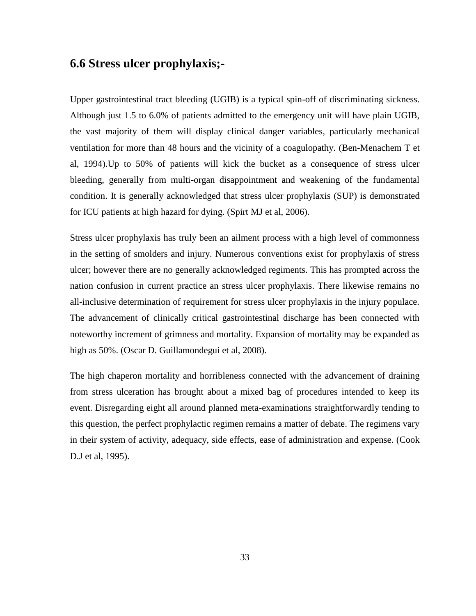# **6.6 Stress ulcer prophylaxis;-**

Upper gastrointestinal tract bleeding (UGIB) is a typical spin-off of discriminating sickness. Although just 1.5 to 6.0% of patients admitted to the emergency unit will have plain UGIB, the vast majority of them will display clinical danger variables, particularly mechanical ventilation for more than 48 hours and the vicinity of a coagulopathy. (Ben-Menachem T et al, 1994).Up to 50% of patients will kick the bucket as a consequence of stress ulcer bleeding, generally from multi-organ disappointment and weakening of the fundamental condition. It is generally acknowledged that stress ulcer prophylaxis (SUP) is demonstrated for ICU patients at high hazard for dying. (Spirt MJ et al, 2006).

Stress ulcer prophylaxis has truly been an ailment process with a high level of commonness in the setting of smolders and injury. Numerous conventions exist for prophylaxis of stress ulcer; however there are no generally acknowledged regiments. This has prompted across the nation confusion in current practice an stress ulcer prophylaxis. There likewise remains no all-inclusive determination of requirement for stress ulcer prophylaxis in the injury populace. The advancement of clinically critical gastrointestinal discharge has been connected with noteworthy increment of grimness and mortality. Expansion of mortality may be expanded as high as 50%. (Oscar D. Guillamondegui et al, 2008).

The high chaperon mortality and horribleness connected with the advancement of draining from stress ulceration has brought about a mixed bag of procedures intended to keep its event. Disregarding eight all around planned meta-examinations straightforwardly tending to this question, the perfect prophylactic regimen remains a matter of debate. The regimens vary in their system of activity, adequacy, side effects, ease of administration and expense. (Cook D.J et al, 1995).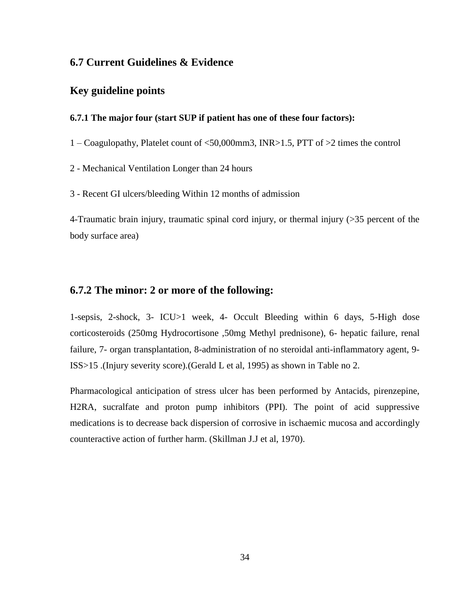#### **6.7 Current Guidelines & Evidence**

### **Key guideline points**

#### **6.7.1 The major four (start SUP if patient has one of these four factors):**

1 – Coagulopathy, Platelet count of <50,000mm3, INR>1.5, PTT of >2 times the control

2 - Mechanical Ventilation Longer than 24 hours

3 - Recent GI ulcers/bleeding Within 12 months of admission

4-Traumatic brain injury, traumatic spinal cord injury, or thermal injury (>35 percent of the body surface area)

#### **6.7.2 The minor: 2 or more of the following:**

1-sepsis, 2-shock, 3- ICU>1 week, 4- Occult Bleeding within 6 days, 5-High dose corticosteroids (250mg Hydrocortisone ,50mg Methyl prednisone), 6- hepatic failure, renal failure, 7- organ transplantation, 8-administration of no steroidal anti-inflammatory agent, 9- ISS>15 .(Injury severity score).(Gerald L et al, 1995) as shown in Table no 2.

Pharmacological anticipation of stress ulcer has been performed by Antacids, pirenzepine, H2RA, sucralfate and proton pump inhibitors (PPI). The point of acid suppressive medications is to decrease back dispersion of corrosive in ischaemic mucosa and accordingly counteractive action of further harm. (Skillman J.J et al, 1970).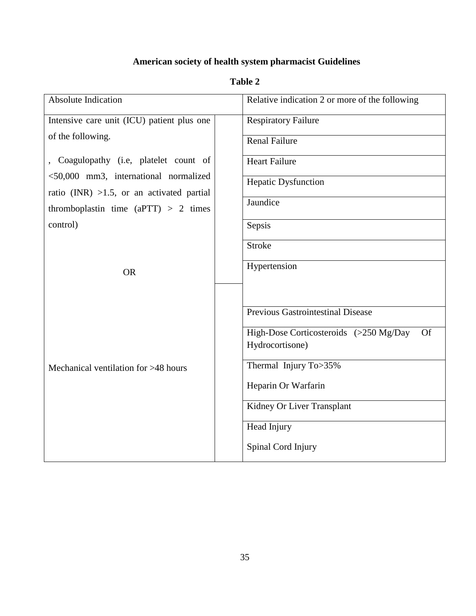# **American society of health system pharmacist Guidelines**

# **Table 2**

| <b>Absolute Indication</b>                         | Relative indication 2 or more of the following      |
|----------------------------------------------------|-----------------------------------------------------|
| Intensive care unit (ICU) patient plus one         | <b>Respiratory Failure</b>                          |
| of the following.                                  | <b>Renal Failure</b>                                |
| Coagulopathy (i.e, platelet count of               | <b>Heart Failure</b>                                |
| <50,000 mm3, international normalized              | Hepatic Dysfunction                                 |
| ratio (INR) $>1.5$ , or an activated partial       | Jaundice                                            |
| thromboplastin time (aPTT) $> 2$ times<br>control) | Sepsis                                              |
|                                                    | <b>Stroke</b>                                       |
|                                                    |                                                     |
| <b>OR</b>                                          | Hypertension                                        |
|                                                    |                                                     |
|                                                    | <b>Previous Gastrointestinal Disease</b>            |
|                                                    | High-Dose Corticosteroids (>250 Mg/Day<br><b>Of</b> |
|                                                    | Hydrocortisone)                                     |
| Mechanical ventilation for >48 hours               | Thermal Injury To>35%                               |
|                                                    | Heparin Or Warfarin                                 |
|                                                    | Kidney Or Liver Transplant                          |
|                                                    | Head Injury                                         |
|                                                    | Spinal Cord Injury                                  |
|                                                    |                                                     |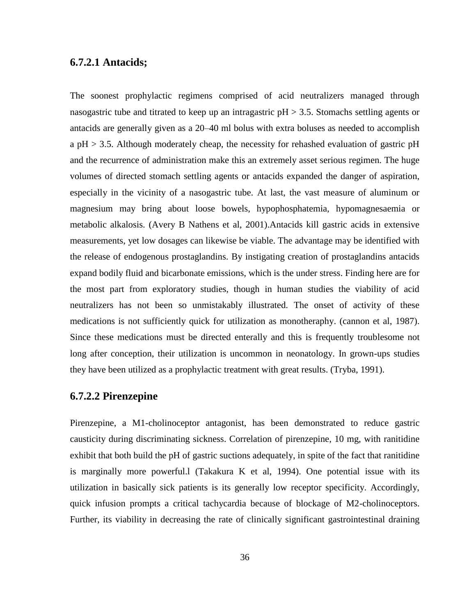#### **6.7.2.1 Antacids;**

The soonest prophylactic regimens comprised of acid neutralizers managed through nasogastric tube and titrated to keep up an intragastric  $pH > 3.5$ . Stomachs settling agents or antacids are generally given as a 20–40 ml bolus with extra boluses as needed to accomplish a pH > 3.5. Although moderately cheap, the necessity for rehashed evaluation of gastric pH and the recurrence of administration make this an extremely asset serious regimen. The huge volumes of directed stomach settling agents or antacids expanded the danger of aspiration, especially in the vicinity of a nasogastric tube. At last, the vast measure of aluminum or magnesium may bring about loose bowels, hypophosphatemia, hypomagnesaemia or metabolic alkalosis. (Avery B Nathens et al, 2001).Antacids kill gastric acids in extensive measurements, yet low dosages can likewise be viable. The advantage may be identified with the release of endogenous prostaglandins. By instigating creation of prostaglandins antacids expand bodily fluid and bicarbonate emissions, which is the under stress. Finding here are for the most part from exploratory studies, though in human studies the viability of acid neutralizers has not been so unmistakably illustrated. The onset of activity of these medications is not sufficiently quick for utilization as monotheraphy. (cannon et al, 1987). Since these medications must be directed enterally and this is frequently troublesome not long after conception, their utilization is uncommon in neonatology. In grown-ups studies they have been utilized as a prophylactic treatment with great results. (Tryba, 1991).

#### **6.7.2.2 Pirenzepine**

Pirenzepine, a M1-cholinoceptor antagonist, has been demonstrated to reduce gastric causticity during discriminating sickness. Correlation of pirenzepine, 10 mg, with ranitidine exhibit that both build the pH of gastric suctions adequately, in spite of the fact that ranitidine is marginally more powerful.l (Takakura K et al, 1994). One potential issue with its utilization in basically sick patients is its generally low receptor specificity. Accordingly, quick infusion prompts a critical tachycardia because of blockage of M2-cholinoceptors. Further, its viability in decreasing the rate of clinically significant gastrointestinal draining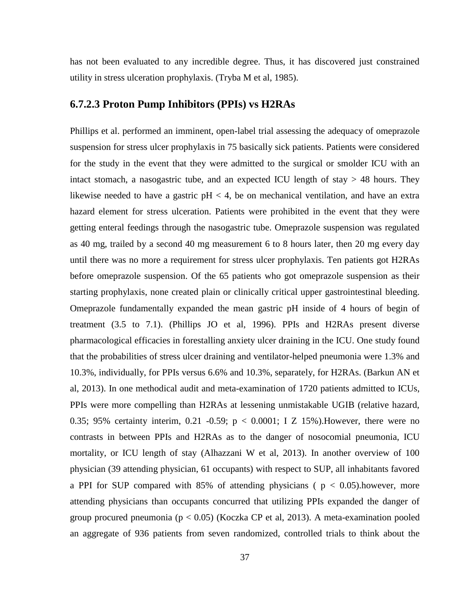has not been evaluated to any incredible degree. Thus, it has discovered just constrained utility in stress ulceration prophylaxis. (Tryba M et al, 1985).

# **6.7.2.3 Proton Pump Inhibitors (PPIs) vs H2RAs**

Phillips et al. performed an imminent, open-label trial assessing the adequacy of omeprazole suspension for stress ulcer prophylaxis in 75 basically sick patients. Patients were considered for the study in the event that they were admitted to the surgical or smolder ICU with an intact stomach, a nasogastric tube, and an expected ICU length of stay  $> 48$  hours. They likewise needed to have a gastric  $pH < 4$ , be on mechanical ventilation, and have an extra hazard element for stress ulceration. Patients were prohibited in the event that they were getting enteral feedings through the nasogastric tube. Omeprazole suspension was regulated as 40 mg, trailed by a second 40 mg measurement 6 to 8 hours later, then 20 mg every day until there was no more a requirement for stress ulcer prophylaxis. Ten patients got H2RAs before omeprazole suspension. Of the 65 patients who got omeprazole suspension as their starting prophylaxis, none created plain or clinically critical upper gastrointestinal bleeding. Omeprazole fundamentally expanded the mean gastric pH inside of 4 hours of begin of treatment (3.5 to 7.1). (Phillips JO et al, 1996). PPIs and H2RAs present diverse pharmacological efficacies in forestalling anxiety ulcer draining in the ICU. One study found that the probabilities of stress ulcer draining and ventilator-helped pneumonia were 1.3% and 10.3%, individually, for PPIs versus 6.6% and 10.3%, separately, for H2RAs. (Barkun AN et al, 2013). In one methodical audit and meta-examination of 1720 patients admitted to ICUs, PPIs were more compelling than H2RAs at lessening unmistakable UGIB (relative hazard, 0.35; 95% certainty interim, 0.21 -0.59;  $p < 0.0001$ ; I Z 15%). However, there were no contrasts in between PPIs and H2RAs as to the danger of nosocomial pneumonia, ICU mortality, or ICU length of stay (Alhazzani W et al, 2013). In another overview of 100 physician (39 attending physician, 61 occupants) with respect to SUP, all inhabitants favored a PPI for SUP compared with 85% of attending physicians ( $p < 0.05$ ).however, more attending physicians than occupants concurred that utilizing PPIs expanded the danger of group procured pneumonia ( $p < 0.05$ ) (Koczka CP et al, 2013). A meta-examination pooled an aggregate of 936 patients from seven randomized, controlled trials to think about the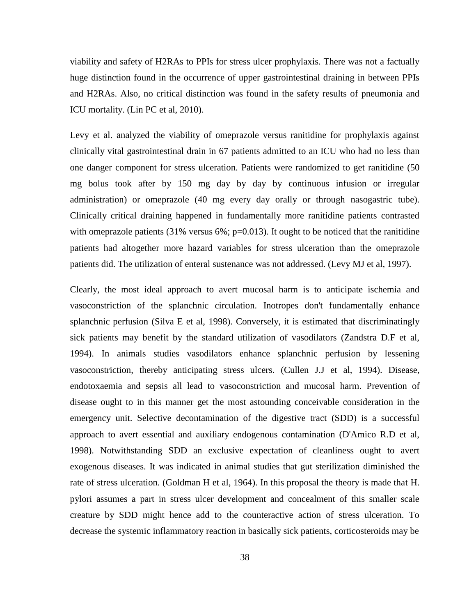viability and safety of H2RAs to PPIs for stress ulcer prophylaxis. There was not a factually huge distinction found in the occurrence of upper gastrointestinal draining in between PPIs and H2RAs. Also, no critical distinction was found in the safety results of pneumonia and ICU mortality. (Lin PC et al, 2010).

Levy et al. analyzed the viability of omeprazole versus ranitidine for prophylaxis against clinically vital gastrointestinal drain in 67 patients admitted to an ICU who had no less than one danger component for stress ulceration. Patients were randomized to get ranitidine (50 mg bolus took after by 150 mg day by day by continuous infusion or irregular administration) or omeprazole (40 mg every day orally or through nasogastric tube). Clinically critical draining happened in fundamentally more ranitidine patients contrasted with omeprazole patients  $(31\%$  versus 6%; p=0.013). It ought to be noticed that the ranitidine patients had altogether more hazard variables for stress ulceration than the omeprazole patients did. The utilization of enteral sustenance was not addressed. (Levy MJ et al, 1997).

Clearly, the most ideal approach to avert mucosal harm is to anticipate ischemia and vasoconstriction of the splanchnic circulation. Inotropes don't fundamentally enhance splanchnic perfusion (Silva E et al, 1998). Conversely, it is estimated that discriminatingly sick patients may benefit by the standard utilization of vasodilators (Zandstra D.F et al, 1994). In animals studies vasodilators enhance splanchnic perfusion by lessening vasoconstriction, thereby anticipating stress ulcers. (Cullen J.J et al, 1994). Disease, endotoxaemia and sepsis all lead to vasoconstriction and mucosal harm. Prevention of disease ought to in this manner get the most astounding conceivable consideration in the emergency unit. Selective decontamination of the digestive tract (SDD) is a successful approach to avert essential and auxiliary endogenous contamination (D'Amico R.D et al, 1998). Notwithstanding SDD an exclusive expectation of cleanliness ought to avert exogenous diseases. It was indicated in animal studies that gut sterilization diminished the rate of stress ulceration. (Goldman H et al, 1964). In this proposal the theory is made that H. pylori assumes a part in stress ulcer development and concealment of this smaller scale creature by SDD might hence add to the counteractive action of stress ulceration. To decrease the systemic inflammatory reaction in basically sick patients, corticosteroids may be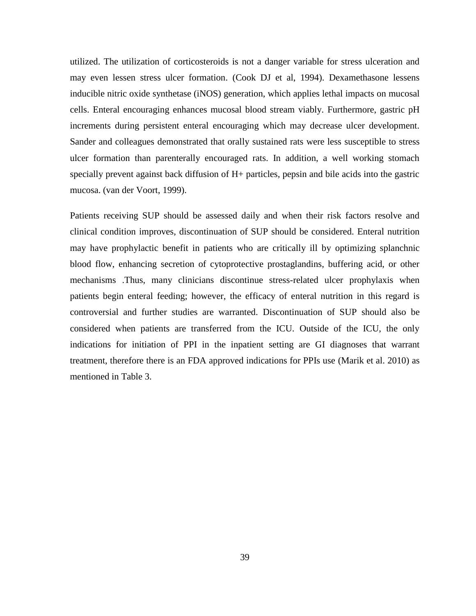utilized. The utilization of corticosteroids is not a danger variable for stress ulceration and may even lessen stress ulcer formation. (Cook DJ et al, 1994). Dexamethasone lessens inducible nitric oxide synthetase (iNOS) generation, which applies lethal impacts on mucosal cells. Enteral encouraging enhances mucosal blood stream viably. Furthermore, gastric pH increments during persistent enteral encouraging which may decrease ulcer development. Sander and colleagues demonstrated that orally sustained rats were less susceptible to stress ulcer formation than parenterally encouraged rats. In addition, a well working stomach specially prevent against back diffusion of H+ particles, pepsin and bile acids into the gastric mucosa. (van der Voort, 1999).

Patients receiving SUP should be assessed daily and when their risk factors resolve and clinical condition improves, discontinuation of SUP should be considered. Enteral nutrition may have prophylactic benefit in patients who are critically ill by optimizing splanchnic blood flow, enhancing secretion of cytoprotective prostaglandins, buffering acid, or other mechanisms .Thus, many clinicians discontinue stress-related ulcer prophylaxis when patients begin enteral feeding; however, the efficacy of enteral nutrition in this regard is controversial and further studies are warranted. Discontinuation of SUP should also be considered when patients are transferred from the ICU. Outside of the ICU, the only indications for initiation of PPI in the inpatient setting are GI diagnoses that warrant treatment, therefore there is an FDA approved indications for PPIs use (Marik et al. 2010) as mentioned in Table 3.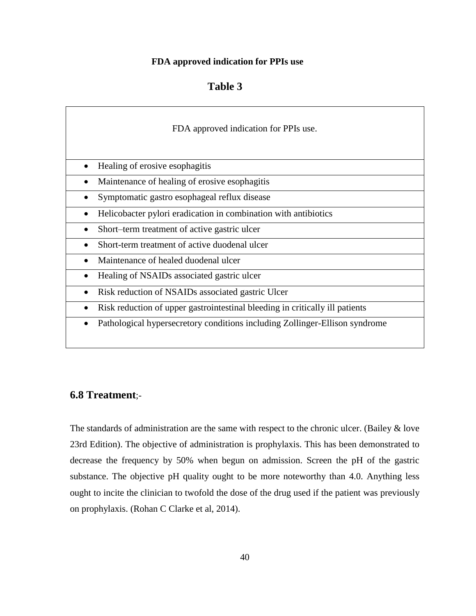#### **FDA approved indication for PPIs use**

| <b>Table 3</b> |  |
|----------------|--|
|                |  |

| FDA approved indication for PPIs use.                                        |
|------------------------------------------------------------------------------|
| Healing of erosive esophagitis                                               |
| Maintenance of healing of erosive esophagitis                                |
| Symptomatic gastro esophageal reflux disease<br>$\bullet$                    |
| Helicobacter pylori eradication in combination with antibiotics              |
| Short-term treatment of active gastric ulcer                                 |
| Short-term treatment of active duodenal ulcer                                |
| Maintenance of healed duodenal ulcer                                         |
| Healing of NSAIDs associated gastric ulcer                                   |
| Risk reduction of NSAIDs associated gastric Ulcer                            |
| Risk reduction of upper gastrointestinal bleeding in critically ill patients |
| Pathological hypersecretory conditions including Zollinger-Ellison syndrome  |

# **6.8 Treatment**;-

The standards of administration are the same with respect to the chronic ulcer. (Bailey  $\&$  love 23rd Edition). The objective of administration is prophylaxis. This has been demonstrated to decrease the frequency by 50% when begun on admission. Screen the pH of the gastric substance. The objective pH quality ought to be more noteworthy than 4.0. Anything less ought to incite the clinician to twofold the dose of the drug used if the patient was previously on prophylaxis. (Rohan C Clarke et al, 2014).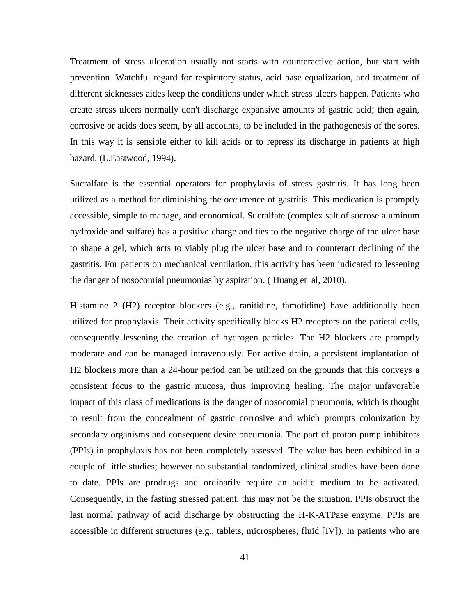Treatment of stress ulceration usually not starts with counteractive action, but start with prevention. Watchful regard for respiratory status, acid base equalization, and treatment of different sicknesses aides keep the conditions under which stress ulcers happen. Patients who create stress ulcers normally don't discharge expansive amounts of gastric acid; then again, corrosive or acids does seem, by all accounts, to be included in the pathogenesis of the sores. In this way it is sensible either to kill acids or to repress its discharge in patients at high hazard. (L.Eastwood, 1994).

Sucralfate is the essential operators for prophylaxis of stress gastritis. It has long been utilized as a method for diminishing the occurrence of gastritis. This medication is promptly accessible, simple to manage, and economical. Sucralfate (complex salt of sucrose aluminum hydroxide and sulfate) has a positive charge and ties to the negative charge of the ulcer base to shape a gel, which acts to viably plug the ulcer base and to counteract declining of the gastritis. For patients on mechanical ventilation, this activity has been indicated to lessening the danger of nosocomial pneumonias by aspiration. ( Huang et al, 2010).

Histamine 2 (H2) receptor blockers (e.g., ranitidine, famotidine) have additionally been utilized for prophylaxis. Their activity specifically blocks H2 receptors on the parietal cells, consequently lessening the creation of hydrogen particles. The H2 blockers are promptly moderate and can be managed intravenously. For active drain, a persistent implantation of H2 blockers more than a 24-hour period can be utilized on the grounds that this conveys a consistent focus to the gastric mucosa, thus improving healing. The major unfavorable impact of this class of medications is the danger of nosocomial pneumonia, which is thought to result from the concealment of gastric corrosive and which prompts colonization by secondary organisms and consequent desire pneumonia. The part of proton pump inhibitors (PPIs) in prophylaxis has not been completely assessed. The value has been exhibited in a couple of little studies; however no substantial randomized, clinical studies have been done to date. PPIs are prodrugs and ordinarily require an acidic medium to be activated. Consequently, in the fasting stressed patient, this may not be the situation. PPIs obstruct the last normal pathway of acid discharge by obstructing the H-K-ATPase enzyme. PPIs are accessible in different structures (e.g., tablets, microspheres, fluid [IV]). In patients who are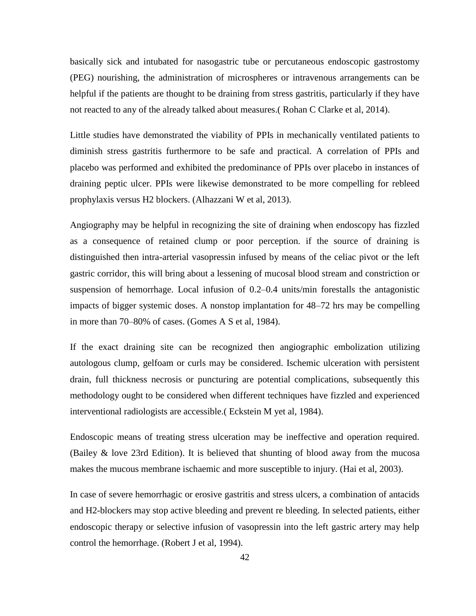basically sick and intubated for nasogastric tube or percutaneous endoscopic gastrostomy (PEG) nourishing, the administration of microspheres or intravenous arrangements can be helpful if the patients are thought to be draining from stress gastritis, particularly if they have not reacted to any of the already talked about measures.( Rohan C Clarke et al, 2014).

Little studies have demonstrated the viability of PPIs in mechanically ventilated patients to diminish stress gastritis furthermore to be safe and practical. A correlation of PPIs and placebo was performed and exhibited the predominance of PPIs over placebo in instances of draining peptic ulcer. PPIs were likewise demonstrated to be more compelling for rebleed prophylaxis versus H2 blockers. (Alhazzani W et al, 2013).

Angiography may be helpful in recognizing the site of draining when endoscopy has fizzled as a consequence of retained clump or poor perception. if the source of draining is distinguished then intra-arterial vasopressin infused by means of the celiac pivot or the left gastric corridor, this will bring about a lessening of mucosal blood stream and constriction or suspension of hemorrhage. Local infusion of 0.2–0.4 units/min forestalls the antagonistic impacts of bigger systemic doses. A nonstop implantation for 48–72 hrs may be compelling in more than 70–80% of cases. (Gomes A S et al, 1984).

If the exact draining site can be recognized then angiographic embolization utilizing autologous clump, gelfoam or curls may be considered. Ischemic ulceration with persistent drain, full thickness necrosis or puncturing are potential complications, subsequently this methodology ought to be considered when different techniques have fizzled and experienced interventional radiologists are accessible.( Eckstein M yet al, 1984).

Endoscopic means of treating stress ulceration may be ineffective and operation required. (Bailey & love 23rd Edition). It is believed that shunting of blood away from the mucosa makes the mucous membrane ischaemic and more susceptible to injury. (Hai et al, 2003).

In case of severe hemorrhagic or erosive gastritis and stress ulcers, a combination of antacids and H2-blockers may stop active bleeding and prevent re bleeding. In selected patients, either endoscopic therapy or selective infusion of vasopressin into the left gastric artery may help control the hemorrhage. (Robert J et al, 1994).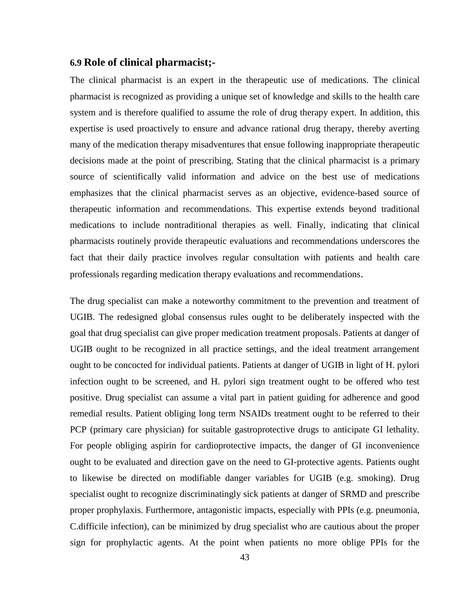#### **6.9 Role of clinical pharmacist;-**

The clinical pharmacist is an expert in the therapeutic use of medications. The clinical pharmacist is recognized as providing a unique set of knowledge and skills to the health care system and is therefore qualified to assume the role of drug therapy expert. In addition, this expertise is used proactively to ensure and advance rational drug therapy, thereby averting many of the medication therapy misadventures that ensue following inappropriate therapeutic decisions made at the point of prescribing. Stating that the clinical pharmacist is a primary source of scientifically valid information and advice on the best use of medications emphasizes that the clinical pharmacist serves as an objective, evidence-based source of therapeutic information and recommendations. This expertise extends beyond traditional medications to include nontraditional therapies as well. Finally, indicating that clinical pharmacists routinely provide therapeutic evaluations and recommendations underscores the fact that their daily practice involves regular consultation with patients and health care professionals regarding medication therapy evaluations and recommendations.

The drug specialist can make a noteworthy commitment to the prevention and treatment of UGIB. The redesigned global consensus rules ought to be deliberately inspected with the goal that drug specialist can give proper medication treatment proposals. Patients at danger of UGIB ought to be recognized in all practice settings, and the ideal treatment arrangement ought to be concocted for individual patients. Patients at danger of UGIB in light of H. pylori infection ought to be screened, and H. pylori sign treatment ought to be offered who test positive. Drug specialist can assume a vital part in patient guiding for adherence and good remedial results. Patient obliging long term NSAIDs treatment ought to be referred to their PCP (primary care physician) for suitable gastroprotective drugs to anticipate GI lethality. For people obliging aspirin for cardioprotective impacts, the danger of GI inconvenience ought to be evaluated and direction gave on the need to GI-protective agents. Patients ought to likewise be directed on modifiable danger variables for UGIB (e.g. smoking). Drug specialist ought to recognize discriminatingly sick patients at danger of SRMD and prescribe proper prophylaxis. Furthermore, antagonistic impacts, especially with PPIs (e.g. pneumonia, C.difficile infection), can be minimized by drug specialist who are cautious about the proper sign for prophylactic agents. At the point when patients no more oblige PPIs for the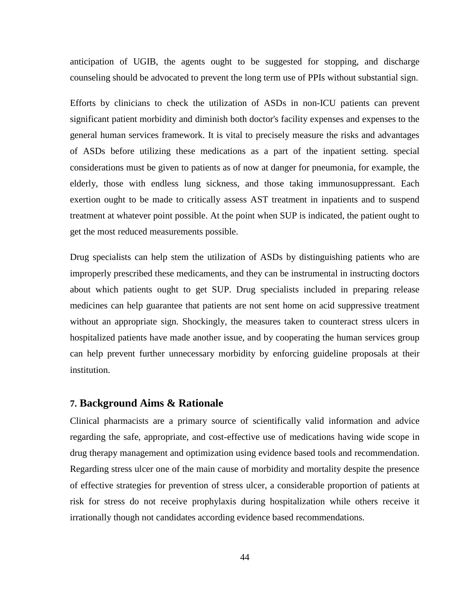anticipation of UGIB, the agents ought to be suggested for stopping, and discharge counseling should be advocated to prevent the long term use of PPIs without substantial sign.

Efforts by clinicians to check the utilization of ASDs in non-ICU patients can prevent significant patient morbidity and diminish both doctor's facility expenses and expenses to the general human services framework. It is vital to precisely measure the risks and advantages of ASDs before utilizing these medications as a part of the inpatient setting. special considerations must be given to patients as of now at danger for pneumonia, for example, the elderly, those with endless lung sickness, and those taking immunosuppressant. Each exertion ought to be made to critically assess AST treatment in inpatients and to suspend treatment at whatever point possible. At the point when SUP is indicated, the patient ought to get the most reduced measurements possible.

Drug specialists can help stem the utilization of ASDs by distinguishing patients who are improperly prescribed these medicaments, and they can be instrumental in instructing doctors about which patients ought to get SUP. Drug specialists included in preparing release medicines can help guarantee that patients are not sent home on acid suppressive treatment without an appropriate sign. Shockingly, the measures taken to counteract stress ulcers in hospitalized patients have made another issue, and by cooperating the human services group can help prevent further unnecessary morbidity by enforcing guideline proposals at their institution.

#### **7. Background Aims & Rationale**

Clinical pharmacists are a primary source of scientifically valid information and advice regarding the safe, appropriate, and cost-effective use of medications having wide scope in drug therapy management and optimization using evidence based tools and recommendation. Regarding stress ulcer one of the main cause of morbidity and mortality despite the presence of effective strategies for prevention of stress ulcer, a considerable proportion of patients at risk for stress do not receive prophylaxis during hospitalization while others receive it irrationally though not candidates according evidence based recommendations.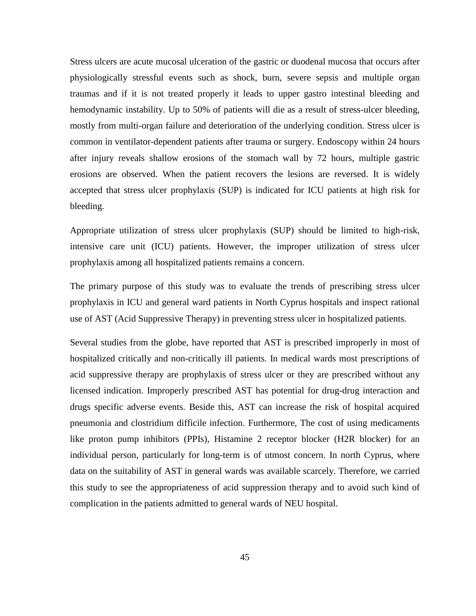Stress ulcers are acute mucosal ulceration of the gastric or duodenal mucosa that occurs after physiologically stressful events such as shock, burn, severe sepsis and multiple organ traumas and if it is not treated properly it leads to upper gastro intestinal bleeding and hemodynamic instability. Up to 50% of patients will die as a result of stress-ulcer bleeding, mostly from multi-organ failure and deterioration of the underlying condition. Stress ulcer is common in ventilator-dependent patients after trauma or surgery. Endoscopy within 24 hours after injury reveals shallow erosions of the stomach wall by 72 hours, multiple gastric erosions are observed. When the patient recovers the lesions are reversed. It is widely accepted that stress ulcer prophylaxis (SUP) is indicated for ICU patients at high risk for bleeding.

Appropriate utilization of stress ulcer prophylaxis (SUP) should be limited to high-risk, intensive care unit (ICU) patients. However, the improper utilization of stress ulcer prophylaxis among all hospitalized patients remains a concern.

The primary purpose of this study was to evaluate the trends of prescribing stress ulcer prophylaxis in ICU and general ward patients in North Cyprus hospitals and inspect rational use of AST (Acid Suppressive Therapy) in preventing stress ulcer in hospitalized patients.

Several studies from the globe, have reported that AST is prescribed improperly in most of hospitalized critically and non-critically ill patients. In medical wards most prescriptions of acid suppressive therapy are prophylaxis of stress ulcer or they are prescribed without any licensed indication. Improperly prescribed AST has potential for drug-drug interaction and drugs specific adverse events. Beside this, AST can increase the risk of hospital acquired pneumonia and clostridium difficile infection. Furthermore, The cost of using medicaments like proton pump inhibitors (PPIs), Histamine 2 receptor blocker (H2R blocker) for an individual person, particularly for long-term is of utmost concern. In north Cyprus, where data on the suitability of AST in general wards was available scarcely. Therefore, we carried this study to see the appropriateness of acid suppression therapy and to avoid such kind of complication in the patients admitted to general wards of NEU hospital.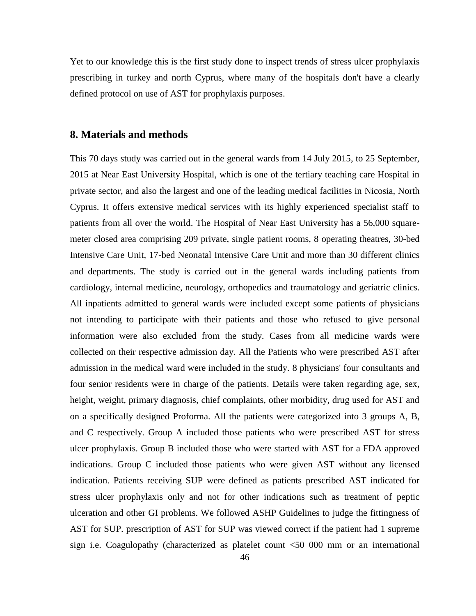Yet to our knowledge this is the first study done to inspect trends of stress ulcer prophylaxis prescribing in turkey and north Cyprus, where many of the hospitals don't have a clearly defined protocol on use of AST for prophylaxis purposes.

#### **8. Materials and methods**

This 70 days study was carried out in the general wards from 14 July 2015, to 25 September, 2015 at Near East University Hospital, which is one of the tertiary teaching care Hospital in private sector, and also the largest and one of the leading medical facilities in Nicosia, North Cyprus. It offers extensive medical services with its highly experienced specialist staff to patients from all over the world. The Hospital of Near East University has a 56,000 squaremeter closed area comprising 209 private, single patient rooms, 8 operating theatres, 30-bed Intensive Care Unit, 17-bed Neonatal Intensive Care Unit and more than 30 different clinics and departments. The study is carried out in the general wards including patients from cardiology, internal medicine, neurology, orthopedics and traumatology and geriatric clinics. All inpatients admitted to general wards were included except some patients of physicians not intending to participate with their patients and those who refused to give personal information were also excluded from the study. Cases from all medicine wards were collected on their respective admission day. All the Patients who were prescribed AST after admission in the medical ward were included in the study. 8 physicians' four consultants and four senior residents were in charge of the patients. Details were taken regarding age, sex, height, weight, primary diagnosis, chief complaints, other morbidity, drug used for AST and on a specifically designed Proforma. All the patients were categorized into 3 groups A, B, and C respectively. Group A included those patients who were prescribed AST for stress ulcer prophylaxis. Group B included those who were started with AST for a FDA approved indications. Group C included those patients who were given AST without any licensed indication. Patients receiving SUP were defined as patients prescribed AST indicated for stress ulcer prophylaxis only and not for other indications such as treatment of peptic ulceration and other GI problems. We followed ASHP Guidelines to judge the fittingness of AST for SUP. prescription of AST for SUP was viewed correct if the patient had 1 supreme sign i.e. Coagulopathy (characterized as platelet count <50 000 mm or an international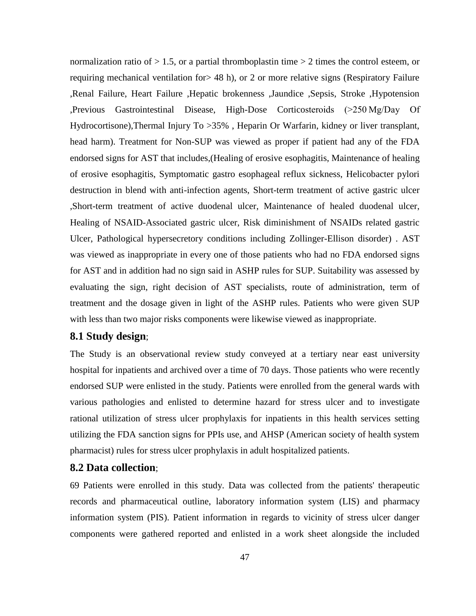normalization ratio of  $> 1.5$ , or a partial thromboplastin time  $> 2$  times the control esteem, or requiring mechanical ventilation for> 48 h), or 2 or more relative signs (Respiratory Failure ,Renal Failure, Heart Failure ,Hepatic brokenness ,Jaundice ,Sepsis, Stroke ,Hypotension ,Previous Gastrointestinal Disease, High-Dose Corticosteroids (>250 Mg/Day Of Hydrocortisone),Thermal Injury To > 35%, Heparin Or Warfarin, kidney or liver transplant, head harm). Treatment for Non-SUP was viewed as proper if patient had any of the FDA endorsed signs for AST that includes,(Healing of erosive esophagitis, Maintenance of healing of erosive esophagitis, Symptomatic gastro esophageal reflux sickness, Helicobacter pylori destruction in blend with anti-infection agents, Short-term treatment of active gastric ulcer ,Short-term treatment of active duodenal ulcer, Maintenance of healed duodenal ulcer, Healing of NSAID-Associated gastric ulcer, Risk diminishment of NSAIDs related gastric Ulcer, Pathological hypersecretory conditions including Zollinger-Ellison disorder) . AST was viewed as inappropriate in every one of those patients who had no FDA endorsed signs for AST and in addition had no sign said in ASHP rules for SUP. Suitability was assessed by evaluating the sign, right decision of AST specialists, route of administration, term of treatment and the dosage given in light of the ASHP rules. Patients who were given SUP with less than two major risks components were likewise viewed as inappropriate.

#### **8.1 Study design**;

The Study is an observational review study conveyed at a tertiary near east university hospital for inpatients and archived over a time of 70 days. Those patients who were recently endorsed SUP were enlisted in the study. Patients were enrolled from the general wards with various pathologies and enlisted to determine hazard for stress ulcer and to investigate rational utilization of stress ulcer prophylaxis for inpatients in this health services setting utilizing the FDA sanction signs for PPIs use, and AHSP (American society of health system pharmacist) rules for stress ulcer prophylaxis in adult hospitalized patients.

#### **8.2 Data collection**;

69 Patients were enrolled in this study. Data was collected from the patients' therapeutic records and pharmaceutical outline, laboratory information system (LIS) and pharmacy information system (PIS). Patient information in regards to vicinity of stress ulcer danger components were gathered reported and enlisted in a work sheet alongside the included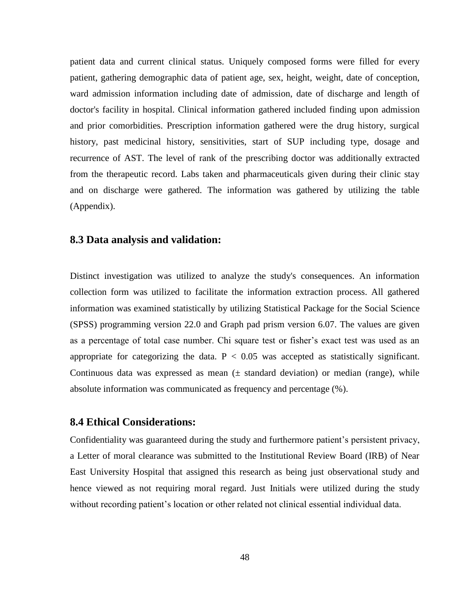patient data and current clinical status. Uniquely composed forms were filled for every patient, gathering demographic data of patient age, sex, height, weight, date of conception, ward admission information including date of admission, date of discharge and length of doctor's facility in hospital. Clinical information gathered included finding upon admission and prior comorbidities. Prescription information gathered were the drug history, surgical history, past medicinal history, sensitivities, start of SUP including type, dosage and recurrence of AST. The level of rank of the prescribing doctor was additionally extracted from the therapeutic record. Labs taken and pharmaceuticals given during their clinic stay and on discharge were gathered. The information was gathered by utilizing the table (Appendix).

#### **8.3 Data analysis and validation:**

Distinct investigation was utilized to analyze the study's consequences. An information collection form was utilized to facilitate the information extraction process. All gathered information was examined statistically by utilizing Statistical Package for the Social Science (SPSS) programming version 22.0 and Graph pad prism version 6.07. The values are given as a percentage of total case number. Chi square test or fisher's exact test was used as an appropriate for categorizing the data.  $P < 0.05$  was accepted as statistically significant. Continuous data was expressed as mean  $(±$  standard deviation) or median (range), while absolute information was communicated as frequency and percentage (%).

#### **8.4 Ethical Considerations:**

Confidentiality was guaranteed during the study and furthermore patient's persistent privacy, a Letter of moral clearance was submitted to the Institutional Review Board (IRB) of Near East University Hospital that assigned this research as being just observational study and hence viewed as not requiring moral regard. Just Initials were utilized during the study without recording patient's location or other related not clinical essential individual data.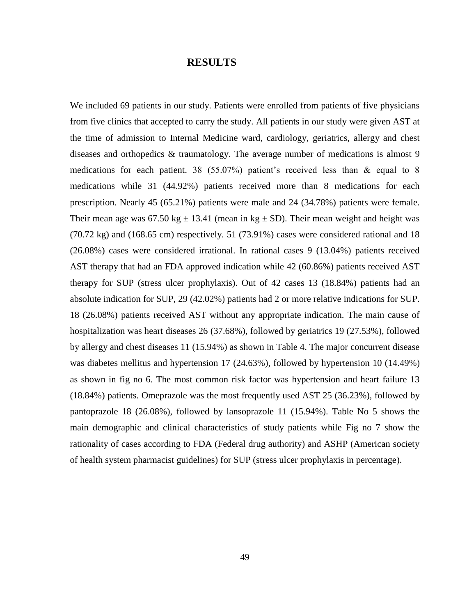#### **RESULTS**

We included 69 patients in our study. Patients were enrolled from patients of five physicians from five clinics that accepted to carry the study. All patients in our study were given AST at the time of admission to Internal Medicine ward, cardiology, geriatrics, allergy and chest diseases and orthopedics & traumatology. The average number of medications is almost 9 medications for each patient. 38 (55.07%) patient's received less than & equal to 8 medications while 31 (44.92%) patients received more than 8 medications for each prescription. Nearly 45 (65.21%) patients were male and 24 (34.78%) patients were female. Their mean age was  $67.50 \text{ kg} \pm 13.41$  (mean in kg  $\pm$  SD). Their mean weight and height was (70.72 kg) and (168.65 cm) respectively. 51 (73.91%) cases were considered rational and 18 (26.08%) cases were considered irrational. In rational cases 9 (13.04%) patients received AST therapy that had an FDA approved indication while 42 (60.86%) patients received AST therapy for SUP (stress ulcer prophylaxis). Out of 42 cases 13 (18.84%) patients had an absolute indication for SUP, 29 (42.02%) patients had 2 or more relative indications for SUP. 18 (26.08%) patients received AST without any appropriate indication. The main cause of hospitalization was heart diseases 26 (37.68%), followed by geriatrics 19 (27.53%), followed by allergy and chest diseases 11 (15.94%) as shown in Table 4. The major concurrent disease was diabetes mellitus and hypertension 17 (24.63%), followed by hypertension 10 (14.49%) as shown in fig no 6. The most common risk factor was hypertension and heart failure 13 (18.84%) patients. Omeprazole was the most frequently used AST 25 (36.23%), followed by pantoprazole 18 (26.08%), followed by lansoprazole 11 (15.94%). Table No 5 shows the main demographic and clinical characteristics of study patients while Fig no 7 show the rationality of cases according to FDA (Federal drug authority) and ASHP (American society of health system pharmacist guidelines) for SUP (stress ulcer prophylaxis in percentage).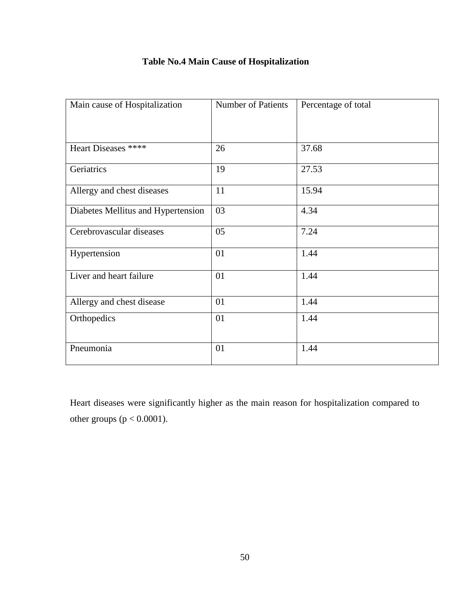|  |  |  | <b>Table No.4 Main Cause of Hospitalization</b> |
|--|--|--|-------------------------------------------------|
|--|--|--|-------------------------------------------------|

| Main cause of Hospitalization      | <b>Number of Patients</b> | Percentage of total |
|------------------------------------|---------------------------|---------------------|
|                                    |                           |                     |
| Heart Diseases ****                | 26                        | 37.68               |
| Geriatrics                         | 19                        | 27.53               |
| Allergy and chest diseases         | 11                        | 15.94               |
| Diabetes Mellitus and Hypertension | 03                        | 4.34                |
| Cerebrovascular diseases           | 05                        | 7.24                |
| Hypertension                       | 01                        | 1.44                |
| Liver and heart failure            | 01                        | 1.44                |
| Allergy and chest disease          | 01                        | 1.44                |
| Orthopedics                        | 01                        | 1.44                |
| Pneumonia                          | 01                        | 1.44                |

Heart diseases were significantly higher as the main reason for hospitalization compared to other groups ( $p < 0.0001$ ).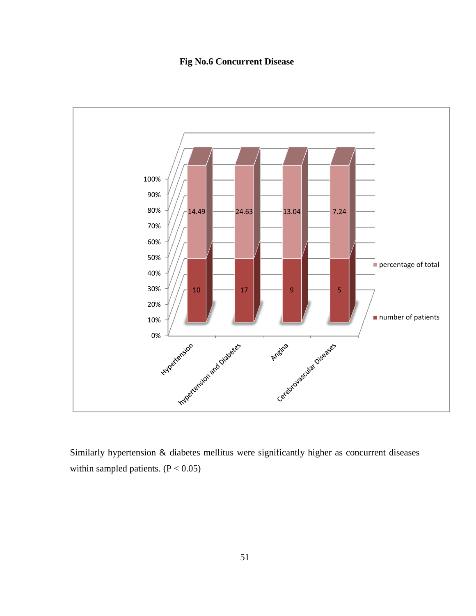### **Fig No.6 Concurrent Disease**



Similarly hypertension & diabetes mellitus were significantly higher as concurrent diseases within sampled patients.  $(P < 0.05)$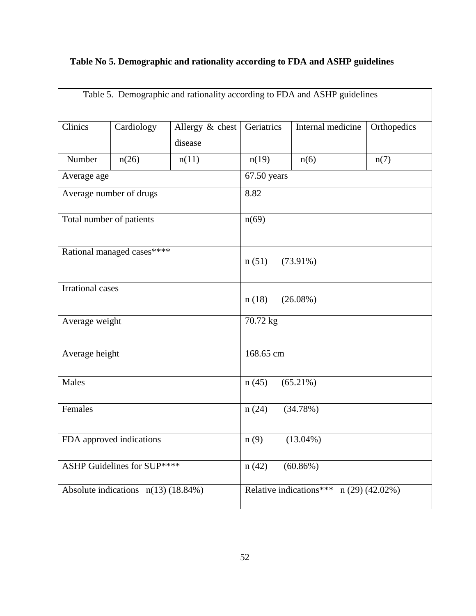# **Table No 5. Demographic and rationality according to FDA and ASHP guidelines**

| Table 5. Demographic and rationality according to FDA and ASHP guidelines |                             |                            |                                         |                   |             |  |
|---------------------------------------------------------------------------|-----------------------------|----------------------------|-----------------------------------------|-------------------|-------------|--|
| Clinics                                                                   | Cardiology                  | Allergy & chest<br>disease | Geriatrics                              | Internal medicine | Orthopedics |  |
| Number                                                                    | n(26)                       | n(11)                      | n(19)                                   | n(6)              | n(7)        |  |
| Average age                                                               |                             |                            | $67.50$ years                           |                   |             |  |
|                                                                           | Average number of drugs     |                            | 8.82                                    |                   |             |  |
| Total number of patients                                                  |                             |                            | n(69)                                   |                   |             |  |
|                                                                           | Rational managed cases****  |                            | n(51)                                   | $(73.91\%)$       |             |  |
| <b>Irrational cases</b>                                                   |                             | n(18)<br>$(26.08\%)$       |                                         |                   |             |  |
| Average weight                                                            |                             | 70.72 kg                   |                                         |                   |             |  |
| Average height                                                            |                             |                            | 168.65 cm                               |                   |             |  |
| Males                                                                     |                             | $(65.21\%)$<br>n(45)       |                                         |                   |             |  |
| Females                                                                   |                             | n(24)<br>(34.78%)          |                                         |                   |             |  |
| FDA approved indications                                                  |                             | n(9)<br>$(13.04\%)$        |                                         |                   |             |  |
|                                                                           | ASHP Guidelines for SUP**** |                            | n(42)                                   | $(60.86\%)$       |             |  |
| Absolute indications $n(13)$ (18.84%)                                     |                             |                            | Relative indications*** $n(29)(42.02%)$ |                   |             |  |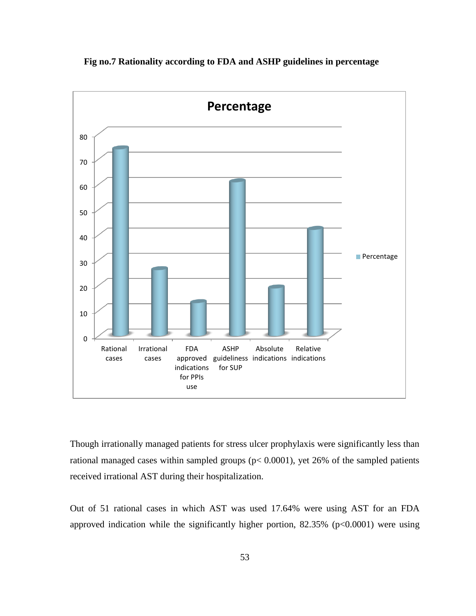

 **Fig no.7 Rationality according to FDA and ASHP guidelines in percentage**

Though irrationally managed patients for stress ulcer prophylaxis were significantly less than rational managed cases within sampled groups (p< 0.0001), yet 26% of the sampled patients received irrational AST during their hospitalization.

Out of 51 rational cases in which AST was used 17.64% were using AST for an FDA approved indication while the significantly higher portion,  $82.35\%$  (p<0.0001) were using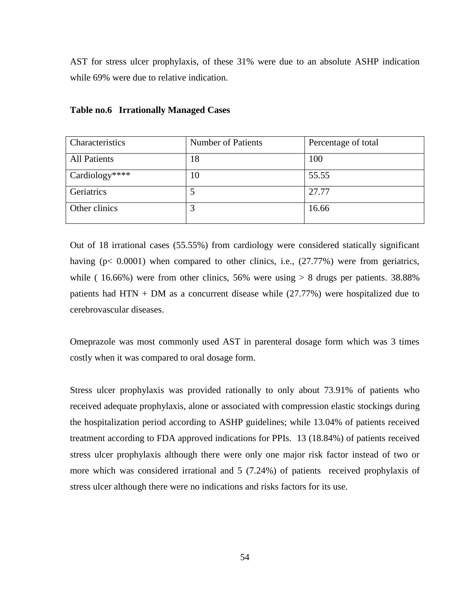AST for stress ulcer prophylaxis, of these 31% were due to an absolute ASHP indication while 69% were due to relative indication.

| Characteristics     | Number of Patients | Percentage of total |
|---------------------|--------------------|---------------------|
| <b>All Patients</b> | 18                 | 100                 |
| Cardiology****      | 10                 | 55.55               |
| Geriatrics          |                    | 27.77               |
| Other clinics       | 3                  | 16.66               |

#### **Table no.6 Irrationally Managed Cases**

Out of 18 irrational cases (55.55%) from cardiology were considered statically significant having  $(p < 0.0001)$  when compared to other clinics, i.e.,  $(27.77%)$  were from geriatrics, while (  $16.66\%$ ) were from other clinics, 56% were using  $> 8$  drugs per patients. 38.88% patients had HTN + DM as a concurrent disease while (27.77%) were hospitalized due to cerebrovascular diseases.

Omeprazole was most commonly used AST in parenteral dosage form which was 3 times costly when it was compared to oral dosage form.

Stress ulcer prophylaxis was provided rationally to only about 73.91% of patients who received adequate prophylaxis, alone or associated with compression elastic stockings during the hospitalization period according to ASHP guidelines; while 13.04% of patients received treatment according to FDA approved indications for PPIs. 13 (18.84%) of patients received stress ulcer prophylaxis although there were only one major risk factor instead of two or more which was considered irrational and 5 (7.24%) of patients received prophylaxis of stress ulcer although there were no indications and risks factors for its use.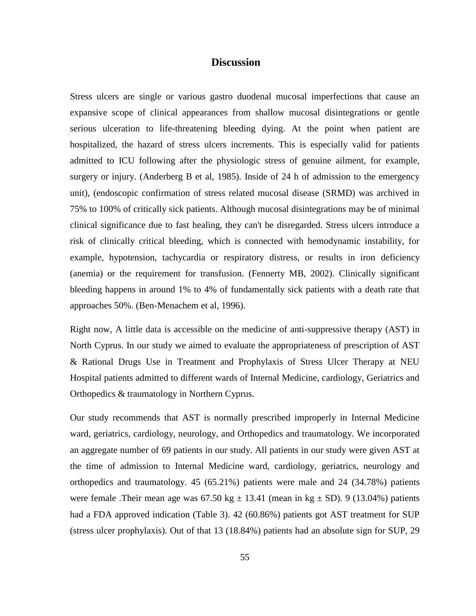#### **Discussion**

Stress ulcers are single or various gastro duodenal mucosal imperfections that cause an expansive scope of clinical appearances from shallow mucosal disintegrations or gentle serious ulceration to life-threatening bleeding dying. At the point when patient are hospitalized, the hazard of stress ulcers increments. This is especially valid for patients admitted to ICU following after the physiologic stress of genuine ailment, for example, surgery or injury. (Anderberg B et al, 1985). Inside of 24 h of admission to the emergency unit), (endoscopic confirmation of stress related mucosal disease (SRMD) was archived in 75% to 100% of critically sick patients. Although mucosal disintegrations may be of minimal clinical significance due to fast healing, they can't be disregarded. Stress ulcers introduce a risk of clinically critical bleeding, which is connected with hemodynamic instability, for example, hypotension, tachycardia or respiratory distress, or results in iron deficiency (anemia) or the requirement for transfusion. (Fennerty MB, 2002). Clinically significant bleeding happens in around 1% to 4% of fundamentally sick patients with a death rate that approaches 50%. (Ben-Menachem et al, 1996).

Right now, A little data is accessible on the medicine of anti-suppressive therapy (AST) in North Cyprus. In our study we aimed to evaluate the appropriateness of prescription of AST & Rational Drugs Use in Treatment and Prophylaxis of Stress Ulcer Therapy at NEU Hospital patients admitted to different wards of Internal Medicine, cardiology, Geriatrics and Orthopedics & traumatology in Northern Cyprus.

Our study recommends that AST is normally prescribed improperly in Internal Medicine ward, geriatrics, cardiology, neurology, and Orthopedics and traumatology. We incorporated an aggregate number of 69 patients in our study. All patients in our study were given AST at the time of admission to Internal Medicine ward, cardiology, geriatrics, neurology and orthopedics and traumatology. 45 (65.21%) patients were male and 24 (34.78%) patients were female .Their mean age was  $67.50 \text{ kg} \pm 13.41$  (mean in kg  $\pm$  SD). 9 (13.04%) patients had a FDA approved indication (Table 3). 42 (60.86%) patients got AST treatment for SUP (stress ulcer prophylaxis). Out of that 13 (18.84%) patients had an absolute sign for SUP, 29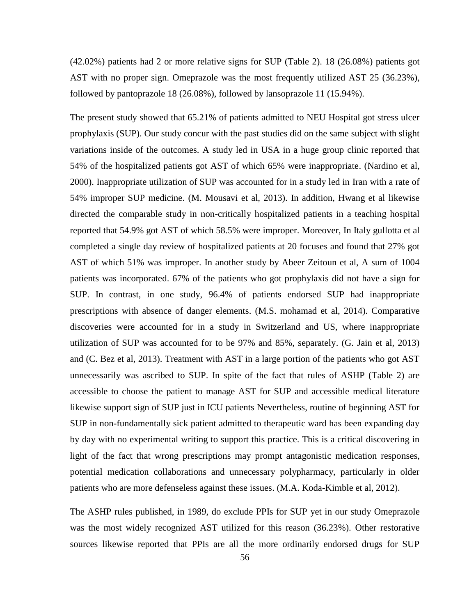(42.02%) patients had 2 or more relative signs for SUP (Table 2). 18 (26.08%) patients got AST with no proper sign. Omeprazole was the most frequently utilized AST 25 (36.23%), followed by pantoprazole 18 (26.08%), followed by lansoprazole 11 (15.94%).

The present study showed that 65.21% of patients admitted to NEU Hospital got stress ulcer prophylaxis (SUP). Our study concur with the past studies did on the same subject with slight variations inside of the outcomes. A study led in USA in a huge group clinic reported that 54% of the hospitalized patients got AST of which 65% were inappropriate. (Nardino et al, 2000). Inappropriate utilization of SUP was accounted for in a study led in Iran with a rate of 54% improper SUP medicine. (M. Mousavi et al, 2013). In addition, Hwang et al likewise directed the comparable study in non-critically hospitalized patients in a teaching hospital reported that 54.9% got AST of which 58.5% were improper. Moreover, In Italy gullotta et al completed a single day review of hospitalized patients at 20 focuses and found that 27% got AST of which 51% was improper. In another study by Abeer Zeitoun et al, A sum of 1004 patients was incorporated. 67% of the patients who got prophylaxis did not have a sign for SUP. In contrast, in one study, 96.4% of patients endorsed SUP had inappropriate prescriptions with absence of danger elements. (M.S. mohamad et al, 2014). Comparative discoveries were accounted for in a study in Switzerland and US, where inappropriate utilization of SUP was accounted for to be 97% and 85%, separately. (G. Jain et al, 2013) and (C. Bez et al, 2013). Treatment with AST in a large portion of the patients who got AST unnecessarily was ascribed to SUP. In spite of the fact that rules of ASHP (Table 2) are accessible to choose the patient to manage AST for SUP and accessible medical literature likewise support sign of SUP just in ICU patients Nevertheless, routine of beginning AST for SUP in non-fundamentally sick patient admitted to therapeutic ward has been expanding day by day with no experimental writing to support this practice. This is a critical discovering in light of the fact that wrong prescriptions may prompt antagonistic medication responses, potential medication collaborations and unnecessary polypharmacy, particularly in older patients who are more defenseless against these issues. (M.A. Koda-Kimble et al, 2012).

The ASHP rules published, in 1989, do exclude PPIs for SUP yet in our study Omeprazole was the most widely recognized AST utilized for this reason (36.23%). Other restorative sources likewise reported that PPIs are all the more ordinarily endorsed drugs for SUP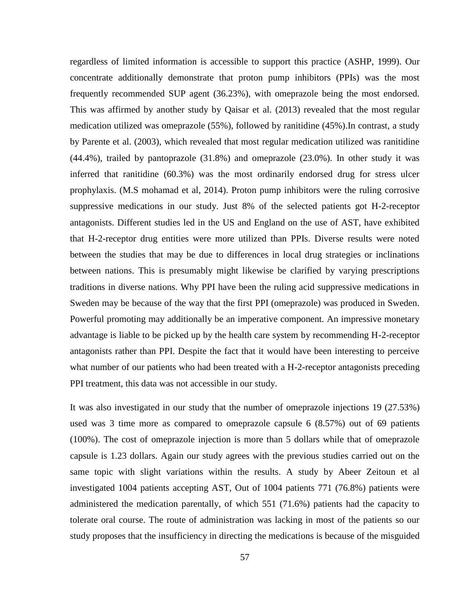regardless of limited information is accessible to support this practice (ASHP, 1999). Our concentrate additionally demonstrate that proton pump inhibitors (PPIs) was the most frequently recommended SUP agent (36.23%), with omeprazole being the most endorsed. This was affirmed by another study by Qaisar et al. (2013) revealed that the most regular medication utilized was omeprazole (55%), followed by ranitidine (45%).In contrast, a study by Parente et al. (2003), which revealed that most regular medication utilized was ranitidine (44.4%), trailed by pantoprazole (31.8%) and omeprazole (23.0%). In other study it was inferred that ranitidine (60.3%) was the most ordinarily endorsed drug for stress ulcer prophylaxis. (M.S mohamad et al, 2014). Proton pump inhibitors were the ruling corrosive suppressive medications in our study. Just 8% of the selected patients got H-2-receptor antagonists. Different studies led in the US and England on the use of AST, have exhibited that H-2-receptor drug entities were more utilized than PPIs. Diverse results were noted between the studies that may be due to differences in local drug strategies or inclinations between nations. This is presumably might likewise be clarified by varying prescriptions traditions in diverse nations. Why PPI have been the ruling acid suppressive medications in Sweden may be because of the way that the first PPI (omeprazole) was produced in Sweden. Powerful promoting may additionally be an imperative component. An impressive monetary advantage is liable to be picked up by the health care system by recommending H-2-receptor antagonists rather than PPI. Despite the fact that it would have been interesting to perceive what number of our patients who had been treated with a H-2-receptor antagonists preceding PPI treatment, this data was not accessible in our study.

It was also investigated in our study that the number of omeprazole injections 19 (27.53%) used was 3 time more as compared to omeprazole capsule 6 (8.57%) out of 69 patients (100%). The cost of omeprazole injection is more than 5 dollars while that of omeprazole capsule is 1.23 dollars. Again our study agrees with the previous studies carried out on the same topic with slight variations within the results. A study by Abeer Zeitoun et al investigated 1004 patients accepting AST, Out of 1004 patients 771 (76.8%) patients were administered the medication parentally, of which 551 (71.6%) patients had the capacity to tolerate oral course. The route of administration was lacking in most of the patients so our study proposes that the insufficiency in directing the medications is because of the misguided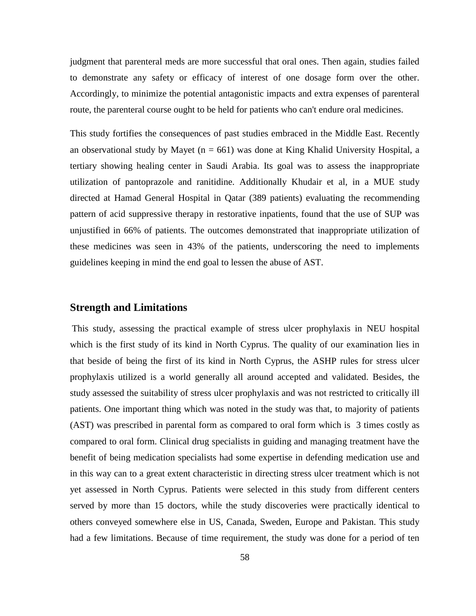judgment that parenteral meds are more successful that oral ones. Then again, studies failed to demonstrate any safety or efficacy of interest of one dosage form over the other. Accordingly, to minimize the potential antagonistic impacts and extra expenses of parenteral route, the parenteral course ought to be held for patients who can't endure oral medicines.

This study fortifies the consequences of past studies embraced in the Middle East. Recently an observational study by Mayet ( $n = 661$ ) was done at King Khalid University Hospital, a tertiary showing healing center in Saudi Arabia. Its goal was to assess the inappropriate utilization of pantoprazole and ranitidine. Additionally Khudair et al, in a MUE study directed at Hamad General Hospital in Qatar (389 patients) evaluating the recommending pattern of acid suppressive therapy in restorative inpatients, found that the use of SUP was unjustified in 66% of patients. The outcomes demonstrated that inappropriate utilization of these medicines was seen in 43% of the patients, underscoring the need to implements guidelines keeping in mind the end goal to lessen the abuse of AST.

#### **Strength and Limitations**

This study, assessing the practical example of stress ulcer prophylaxis in NEU hospital which is the first study of its kind in North Cyprus. The quality of our examination lies in that beside of being the first of its kind in North Cyprus, the ASHP rules for stress ulcer prophylaxis utilized is a world generally all around accepted and validated. Besides, the study assessed the suitability of stress ulcer prophylaxis and was not restricted to critically ill patients. One important thing which was noted in the study was that, to majority of patients (AST) was prescribed in parental form as compared to oral form which is 3 times costly as compared to oral form. Clinical drug specialists in guiding and managing treatment have the benefit of being medication specialists had some expertise in defending medication use and in this way can to a great extent characteristic in directing stress ulcer treatment which is not yet assessed in North Cyprus. Patients were selected in this study from different centers served by more than 15 doctors, while the study discoveries were practically identical to others conveyed somewhere else in US, Canada, Sweden, Europe and Pakistan. This study had a few limitations. Because of time requirement, the study was done for a period of ten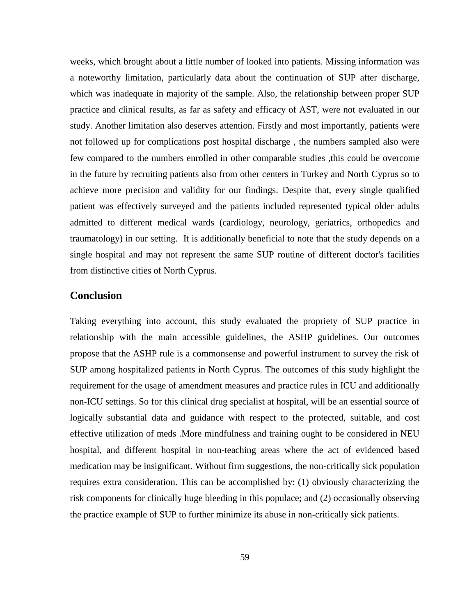weeks, which brought about a little number of looked into patients. Missing information was a noteworthy limitation, particularly data about the continuation of SUP after discharge, which was inadequate in majority of the sample. Also, the relationship between proper SUP practice and clinical results, as far as safety and efficacy of AST, were not evaluated in our study. Another limitation also deserves attention. Firstly and most importantly, patients were not followed up for complications post hospital discharge , the numbers sampled also were few compared to the numbers enrolled in other comparable studies ,this could be overcome in the future by recruiting patients also from other centers in Turkey and North Cyprus so to achieve more precision and validity for our findings. Despite that, every single qualified patient was effectively surveyed and the patients included represented typical older adults admitted to different medical wards (cardiology, neurology, geriatrics, orthopedics and traumatology) in our setting. It is additionally beneficial to note that the study depends on a single hospital and may not represent the same SUP routine of different doctor's facilities from distinctive cities of North Cyprus.

#### **Conclusion**

Taking everything into account, this study evaluated the propriety of SUP practice in relationship with the main accessible guidelines, the ASHP guidelines. Our outcomes propose that the ASHP rule is a commonsense and powerful instrument to survey the risk of SUP among hospitalized patients in North Cyprus. The outcomes of this study highlight the requirement for the usage of amendment measures and practice rules in ICU and additionally non-ICU settings. So for this clinical drug specialist at hospital, will be an essential source of logically substantial data and guidance with respect to the protected, suitable, and cost effective utilization of meds .More mindfulness and training ought to be considered in NEU hospital, and different hospital in non-teaching areas where the act of evidenced based medication may be insignificant. Without firm suggestions, the non-critically sick population requires extra consideration. This can be accomplished by: (1) obviously characterizing the risk components for clinically huge bleeding in this populace; and (2) occasionally observing the practice example of SUP to further minimize its abuse in non-critically sick patients.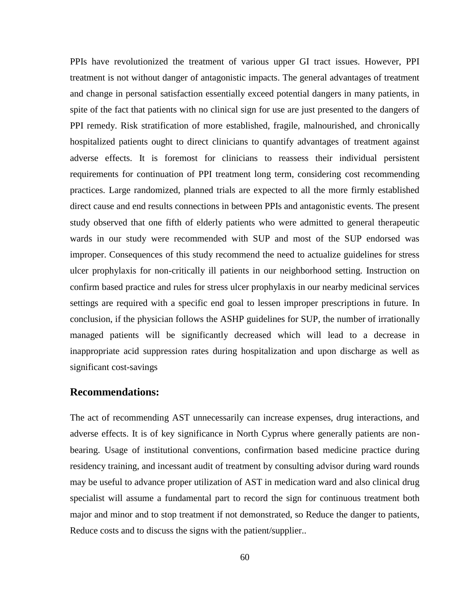PPIs have revolutionized the treatment of various upper GI tract issues. However, PPI treatment is not without danger of antagonistic impacts. The general advantages of treatment and change in personal satisfaction essentially exceed potential dangers in many patients, in spite of the fact that patients with no clinical sign for use are just presented to the dangers of PPI remedy. Risk stratification of more established, fragile, malnourished, and chronically hospitalized patients ought to direct clinicians to quantify advantages of treatment against adverse effects. It is foremost for clinicians to reassess their individual persistent requirements for continuation of PPI treatment long term, considering cost recommending practices. Large randomized, planned trials are expected to all the more firmly established direct cause and end results connections in between PPIs and antagonistic events. The present study observed that one fifth of elderly patients who were admitted to general therapeutic wards in our study were recommended with SUP and most of the SUP endorsed was improper. Consequences of this study recommend the need to actualize guidelines for stress ulcer prophylaxis for non-critically ill patients in our neighborhood setting. Instruction on confirm based practice and rules for stress ulcer prophylaxis in our nearby medicinal services settings are required with a specific end goal to lessen improper prescriptions in future. In conclusion, if the physician follows the ASHP guidelines for SUP, the number of irrationally managed patients will be significantly decreased which will lead to a decrease in inappropriate acid suppression rates during hospitalization and upon discharge as well as significant cost-savings

#### **Recommendations:**

The act of recommending AST unnecessarily can increase expenses, drug interactions, and adverse effects. It is of key significance in North Cyprus where generally patients are nonbearing. Usage of institutional conventions, confirmation based medicine practice during residency training, and incessant audit of treatment by consulting advisor during ward rounds may be useful to advance proper utilization of AST in medication ward and also clinical drug specialist will assume a fundamental part to record the sign for continuous treatment both major and minor and to stop treatment if not demonstrated, so Reduce the danger to patients, Reduce costs and to discuss the signs with the patient/supplier..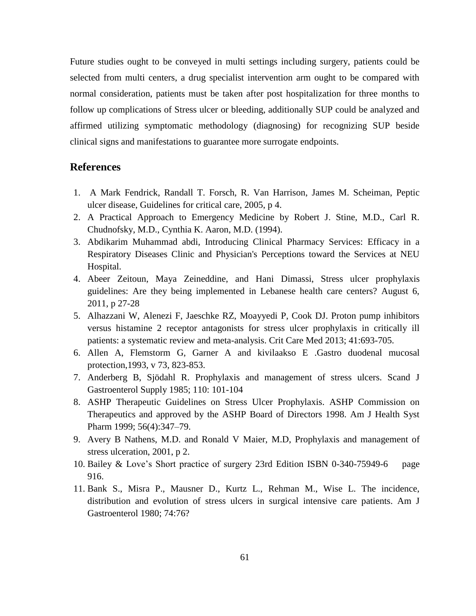Future studies ought to be conveyed in multi settings including surgery, patients could be selected from multi centers, a drug specialist intervention arm ought to be compared with normal consideration, patients must be taken after post hospitalization for three months to follow up complications of Stress ulcer or bleeding, additionally SUP could be analyzed and affirmed utilizing symptomatic methodology (diagnosing) for recognizing SUP beside clinical signs and manifestations to guarantee more surrogate endpoints.

#### **References**

- 1. A Mark Fendrick, Randall T. Forsch, R. Van Harrison, James M. Scheiman, Peptic ulcer disease, Guidelines for critical care, 2005, p 4.
- 2. A Practical Approach to Emergency Medicine by Robert J. Stine, M.D., Carl R. Chudnofsky, M.D., Cynthia K. Aaron, M.D. (1994).
- 3. Abdikarim Muhammad abdi, Introducing Clinical Pharmacy Services: Efficacy in a Respiratory Diseases Clinic and Physician's Perceptions toward the Services at NEU Hospital.
- 4. Abeer Zeitoun, Maya Zeineddine, and Hani Dimassi, Stress ulcer prophylaxis guidelines: Are they being implemented in Lebanese health care centers? August 6, 2011, p 27-28
- 5. Alhazzani W, Alenezi F, Jaeschke RZ, Moayyedi P, Cook DJ. Proton pump inhibitors versus histamine 2 receptor antagonists for stress ulcer prophylaxis in critically ill patients: a systematic review and meta-analysis. Crit Care Med 2013; 41:693-705.
- 6. Allen A, Flemstorm G, Garner A and kivilaakso E .Gastro duodenal mucosal protection,1993, v 73, 823-853.
- 7. Anderberg B, Sjödahl R. Prophylaxis and management of stress ulcers. Scand J Gastroenterol Supply 1985; 110: 101-104
- 8. ASHP Therapeutic Guidelines on Stress Ulcer Prophylaxis. ASHP Commission on Therapeutics and approved by the ASHP Board of Directors 1998. Am J Health Syst Pharm 1999; 56(4):347–79.
- 9. Avery B Nathens, M.D. and Ronald V Maier, M.D, Prophylaxis and management of stress ulceration, 2001, p 2.
- 10. Bailey & Love's Short practice of surgery 23rd Edition ISBN 0-340-75949-6 page 916.
- 11. Bank S., Misra P., Mausner D., Kurtz L., Rehman M., Wise L. The incidence, distribution and evolution of stress ulcers in surgical intensive care patients. Am J Gastroenterol 1980; 74:76?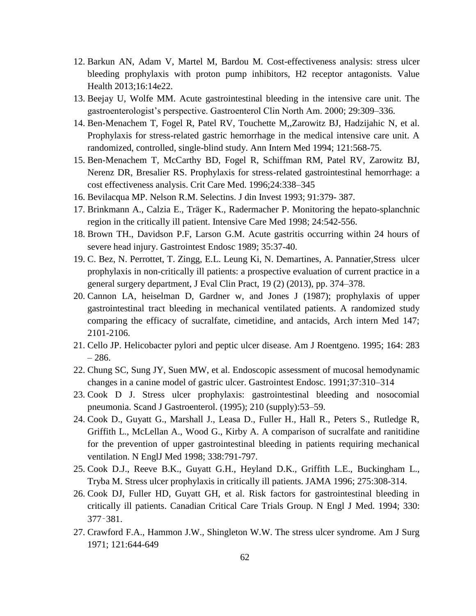- 12. Barkun AN, Adam V, Martel M, Bardou M. Cost-effectiveness analysis: stress ulcer bleeding prophylaxis with proton pump inhibitors, H2 receptor antagonists. Value Health 2013;16:14e22.
- 13. Beejay U, Wolfe MM. Acute gastrointestinal bleeding in the intensive care unit. The gastroenterologist's perspective. Gastroenterol Clin North Am. 2000; 29:309–336.
- 14. Ben-Menachem T, Fogel R, Patel RV, Touchette M,,Zarowitz BJ, Hadzijahic N, et al. Prophylaxis for stress-related gastric hemorrhage in the medical intensive care unit. A randomized, controlled, single-blind study. Ann Intern Med 1994; 121:568-75.
- 15. Ben-Menachem T, McCarthy BD, Fogel R, Schiffman RM, Patel RV, Zarowitz BJ, Nerenz DR, Bresalier RS. Prophylaxis for stress-related gastrointestinal hemorrhage: a cost effectiveness analysis. Crit Care Med. 1996;24:338–345
- 16. Bevilacqua MP. Nelson R.M. Selectins. J din Invest 1993; 91:379- 387.
- 17. Brinkmann A., Calzia E., Träger K., Radermacher P. Monitoring the hepato-splanchnic region in the critically ill patient. Intensive Care Med 1998; 24:542-556.
- 18. Brown TH., Davidson P.F, Larson G.M. Acute gastritis occurring within 24 hours of severe head injury. Gastrointest Endosc 1989; 35:37-40.
- 19. C. Bez, N. Perrottet, T. Zingg, E.L. Leung Ki, N. Demartines, A. Pannatier,Stress ulcer prophylaxis in non-critically ill patients: a prospective evaluation of current practice in a general surgery department, J Eval Clin Pract, 19 (2) (2013), pp. 374–378.
- 20. Cannon LA, heiselman D, Gardner w, and Jones J (1987); prophylaxis of upper gastrointestinal tract bleeding in mechanical ventilated patients. A randomized study comparing the efficacy of sucralfate, cimetidine, and antacids, Arch intern Med 147; 2101-2106.
- 21. Cello JP. Helicobacter pylori and peptic ulcer disease. Am J Roentgeno. 1995; 164: 283 – 286.
- 22. Chung SC, Sung JY, Suen MW, et al. Endoscopic assessment of mucosal hemodynamic changes in a canine model of gastric ulcer. Gastrointest Endosc. 1991;37:310–314
- 23. Cook D J. Stress ulcer prophylaxis: gastrointestinal bleeding and nosocomial pneumonia. Scand J Gastroenterol. (1995); 210 (supply):53–59.
- 24. Cook D., Guyatt G., Marshall J., Leasa D., Fuller H., Hall R., Peters S., Rutledge R, Griffith L., McLellan A., Wood G., Kirby A. A comparison of sucralfate and ranitidine for the prevention of upper gastrointestinal bleeding in patients requiring mechanical ventilation. N EnglJ Med 1998; 338:791-797.
- 25. Cook D.J., Reeve B.K., Guyatt G.H., Heyland D.K., Griffith L.E., Buckingham L., Tryba M. Stress ulcer prophylaxis in critically ill patients. JAMA 1996; 275:308-314.
- 26. Cook DJ, Fuller HD, Guyatt GH, et al. Risk factors for gastrointestinal bleeding in critically ill patients. Canadian Critical Care Trials Group. N Engl J Med. 1994; 330: 377‑381.
- 27. Crawford F.A., Hammon J.W., Shingleton W.W. The stress ulcer syndrome. Am J Surg 1971; 121:644-649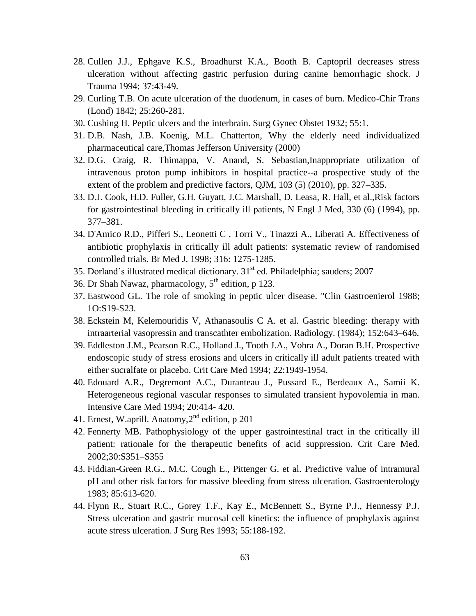- 28. Cullen J.J., Ephgave K.S., Broadhurst K.A., Booth B. Captopril decreases stress ulceration without affecting gastric perfusion during canine hemorrhagic shock. J Trauma 1994; 37:43-49.
- 29. Curling T.B. On acute ulceration of the duodenum, in cases of burn. Medico-Chir Trans (Lond) 1842; 25:260-281.
- 30. Cushing H. Peptic ulcers and the interbrain. Surg Gynec Obstet 1932; 55:1.
- 31. D.B. Nash, J.B. Koenig, M.L. Chatterton, Why the elderly need individualized pharmaceutical care,Thomas Jefferson University (2000)
- 32. D.G. Craig, R. Thimappa, V. Anand, S. Sebastian,Inappropriate utilization of intravenous proton pump inhibitors in hospital practice--a prospective study of the extent of the problem and predictive factors, QJM, 103 (5) (2010), pp. 327–335.
- 33. D.J. Cook, H.D. Fuller, G.H. Guyatt, J.C. Marshall, D. Leasa, R. Hall, et al.,Risk factors for gastrointestinal bleeding in critically ill patients, N Engl J Med, 330 (6) (1994), pp. 377–381.
- 34. D'Amico R.D., Pifferi S., Leonetti C , Torri V., Tinazzi A., Liberati A. Effectiveness of antibiotic prophylaxis in critically ill adult patients: systematic review of randomised controlled trials. Br Med J. 1998; 316: 1275-1285.
- 35. Dorland's illustrated medical dictionary.  $31<sup>st</sup>$  ed. Philadelphia; sauders; 2007
- 36. Dr Shah Nawaz, pharmacology,  $5<sup>th</sup>$  edition, p 123.
- 37. Eastwood GL. The role of smoking in peptic ulcer disease. "Clin Gastroenierol 1988; 1O:S19-S23.
- 38. Eckstein M, Kelemouridis V, Athanasoulis C A. et al. Gastric bleeding: therapy with intraarterial vasopressin and transcathter embolization. Radiology. (1984); 152:643–646.
- 39. Eddleston J.M., Pearson R.C., Holland J., Tooth J.A., Vohra A., Doran B.H. Prospective endoscopic study of stress erosions and ulcers in critically ill adult patients treated with either sucralfate or placebo. Crit Care Med 1994; 22:1949-1954.
- 40. Edouard A.R., Degremont A.C., Duranteau J., Pussard E., Berdeaux A., Samii K. Heterogeneous regional vascular responses to simulated transient hypovolemia in man. Intensive Care Med 1994; 20:414- 420.
- 41. Ernest, W.aprill. Anatomy,2nd edition, p 201
- 42. Fennerty MB. Pathophysiology of the upper gastrointestinal tract in the critically ill patient: rationale for the therapeutic benefits of acid suppression. Crit Care Med. 2002;30:S351–S355
- 43. Fiddian-Green R.G., M.C. Cough E., Pittenger G. et al. Predictive value of intramural pH and other risk factors for massive bleeding from stress ulceration. Gastroenterology 1983; 85:613-620.
- 44. Flynn R., Stuart R.C., Gorey T.F., Kay E., McBennett S., Byrne P.J., Hennessy P.J. Stress ulceration and gastric mucosal cell kinetics: the influence of prophylaxis against acute stress ulceration. J Surg Res 1993; 55:188-192.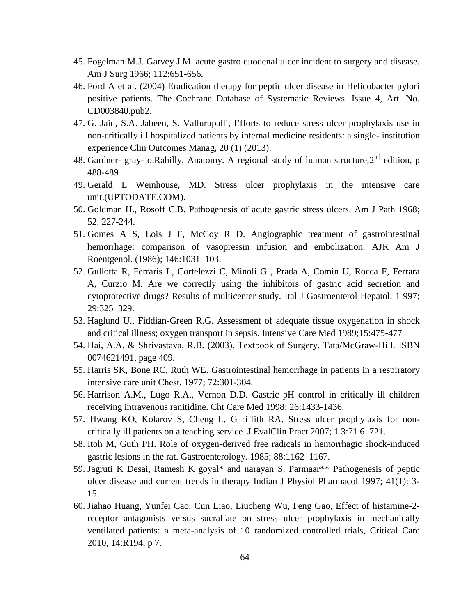- 45. Fogelman M.J. Garvey J.M. acute gastro duodenal ulcer incident to surgery and disease. Am J Surg 1966; 112:651-656.
- 46. Ford A et al. (2004) Eradication therapy for peptic ulcer disease in Helicobacter pylori positive patients. The Cochrane Database of Systematic Reviews. Issue 4, Art. No. CD003840.pub2.
- 47. G. Jain, S.A. Jabeen, S. Vallurupalli, Efforts to reduce stress ulcer prophylaxis use in non-critically ill hospitalized patients by internal medicine residents: a single- institution experience Clin Outcomes Manag, 20 (1) (2013).
- 48. Gardner- gray- o.Rahilly, Anatomy. A regional study of human structure, 2<sup>nd</sup> edition, p 488-489
- 49. Gerald L Weinhouse, MD. Stress ulcer prophylaxis in the intensive care unit.(UPTODATE.COM).
- 50. Goldman H., Rosoff C.B. Pathogenesis of acute gastric stress ulcers. Am J Path 1968; 52: 227-244.
- 51. Gomes A S, Lois J F, McCoy R D. Angiographic treatment of gastrointestinal hemorrhage: comparison of vasopressin infusion and embolization. AJR Am J Roentgenol. (1986); 146:1031–103.
- 52. Gullotta R, Ferraris L, Cortelezzi C, Minoli G , Prada A, Comin U, Rocca F, Ferrara A, Curzio M. Are we correctly using the inhibitors of gastric acid secretion and cytoprotective drugs? Results of multicenter study. Ital J Gastroenterol Hepatol. 1 997; 29:325–329.
- 53. Haglund U., Fiddian-Green R.G. Assessment of adequate tissue oxygenation in shock and critical illness; oxygen transport in sepsis. Intensive Care Med 1989;15:475-477
- 54. Hai, A.A. & Shrivastava, R.B. (2003). Textbook of Surgery. Tata/McGraw-Hill. ISBN 0074621491, page 409.
- 55. Harris SK, Bone RC, Ruth WE. Gastrointestinal hemorrhage in patients in a respiratory intensive care unit Chest. 1977; 72:301-304.
- 56. Harrison A.M., Lugo R.A., Vernon D.D. Gastric pH control in critically ill children receiving intravenous ranitidine. Cht Care Med 1998; 26:1433-1436.
- 57. Hwang KO, Kolarov S, Cheng L, G riffith RA. Stress ulcer prophylaxis for noncritically ill patients on a teaching service. J EvalClin Pract.2007; 1 3:71 6–721.
- 58. Itoh M, Guth PH. Role of oxygen-derived free radicals in hemorrhagic shock-induced gastric lesions in the rat. Gastroenterology. 1985; 88:1162–1167.
- 59. Jagruti K Desai, Ramesh K goyal\* and narayan S. Parmaar\*\* Pathogenesis of peptic ulcer disease and current trends in therapy Indian J Physiol Pharmacol 1997; 41(1): 3- 15.
- 60. Jiahao Huang, Yunfei Cao, Cun Liao, Liucheng Wu, Feng Gao, Effect of histamine-2 receptor antagonists versus sucralfate on stress ulcer prophylaxis in mechanically ventilated patients: a meta-analysis of 10 randomized controlled trials, Critical Care 2010, 14:R194, p 7.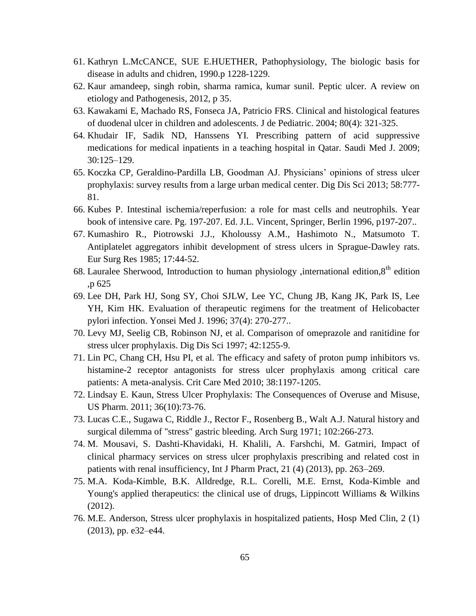- 61. Kathryn L.McCANCE, SUE E.HUETHER, Pathophysiology, The biologic basis for disease in adults and chidren, 1990.p 1228-1229.
- 62. Kaur amandeep, singh robin, sharma ramica, kumar sunil. Peptic ulcer. A review on etiology and Pathogenesis, 2012, p 35.
- 63. Kawakami E, Machado RS, Fonseca JA, Patricio FRS. Clinical and histological features of duodenal ulcer in children and adolescents. J de Pediatric. 2004; 80(4): 321-325.
- 64. Khudair IF, Sadik ND, Hanssens YI. Prescribing pattern of acid suppressive medications for medical inpatients in a teaching hospital in Qatar. Saudi Med J. 2009; 30:125–129.
- 65. Koczka CP, Geraldino-Pardilla LB, Goodman AJ. Physicians' opinions of stress ulcer prophylaxis: survey results from a large urban medical center. Dig Dis Sci 2013; 58:777- 81.
- 66. Kubes P. Intestinal ischemia/reperfusion: a role for mast cells and neutrophils. Year book of intensive care. Pg. 197-207. Ed. J.L. Vincent, Springer, Berlin 1996, p197-207..
- 67. Kumashiro R., Piotrowski J.J., Kholoussy A.M., Hashimoto N., Matsumoto T. Antiplatelet aggregators inhibit development of stress ulcers in Sprague-Dawley rats. Eur Surg Res 1985; 17:44-52.
- 68. Lauralee Sherwood, Introduction to human physiology , international edition,  $8<sup>th</sup>$  edition ,p 625
- 69. Lee DH, Park HJ, Song SY, Choi SJLW, Lee YC, Chung JB, Kang JK, Park IS, Lee YH, Kim HK. Evaluation of therapeutic regimens for the treatment of Helicobacter pylori infection. Yonsei Med J. 1996; 37(4): 270-277..
- 70. Levy MJ, Seelig CB, Robinson NJ, et al. Comparison of omeprazole and ranitidine for stress ulcer prophylaxis. Dig Dis Sci 1997; 42:1255-9.
- 71. Lin PC, Chang CH, Hsu PI, et al. The efficacy and safety of proton pump inhibitors vs. histamine-2 receptor antagonists for stress ulcer prophylaxis among critical care patients: A meta-analysis. Crit Care Med 2010; 38:1197-1205.
- 72. Lindsay E. Kaun, Stress Ulcer Prophylaxis: The Consequences of Overuse and Misuse, US Pharm. 2011; 36(10):73-76.
- 73. Lucas C.E., Sugawa C, Riddle J., Rector F., Rosenberg B., Walt A.J. Natural history and surgical dilemma of "stress" gastric bleeding. Arch Surg 1971; 102:266-273.
- 74. M. Mousavi, S. Dashti-Khavidaki, H. Khalili, A. Farshchi, M. Gatmiri, Impact of clinical pharmacy services on stress ulcer prophylaxis prescribing and related cost in patients with renal insufficiency, Int J Pharm Pract, 21 (4) (2013), pp. 263–269.
- 75. M.A. Koda-Kimble, B.K. Alldredge, R.L. Corelli, M.E. Ernst, Koda-Kimble and Young's applied therapeutics: the clinical use of drugs, Lippincott Williams & Wilkins (2012).
- 76. M.E. Anderson, Stress ulcer prophylaxis in hospitalized patients, Hosp Med Clin, 2 (1) (2013), pp. e32–e44.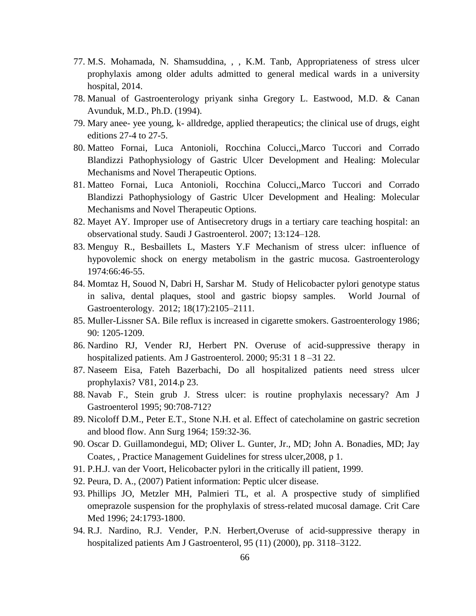- 77. M.S. Mohamada, N. Shamsuddina, , , K.M. Tanb, Appropriateness of stress ulcer prophylaxis among older adults admitted to general medical wards in a university hospital, 2014.
- 78. Manual of Gastroenterology priyank sinha Gregory L. Eastwood, M.D. & Canan Avunduk, M.D., Ph.D. (1994).
- 79. Mary anee- yee young, k- alldredge, applied therapeutics; the clinical use of drugs, eight editions 27-4 to 27-5.
- 80. Matteo Fornai, Luca Antonioli, Rocchina Colucci,,Marco Tuccori and Corrado Blandizzi Pathophysiology of Gastric Ulcer Development and Healing: Molecular Mechanisms and Novel Therapeutic Options.
- 81. Matteo Fornai, Luca Antonioli, Rocchina Colucci,,Marco Tuccori and Corrado Blandizzi Pathophysiology of Gastric Ulcer Development and Healing: Molecular Mechanisms and Novel Therapeutic Options.
- 82. Mayet AY. Improper use of Antisecretory drugs in a tertiary care teaching hospital: an observational study. Saudi J Gastroenterol. 2007; 13:124–128.
- 83. Menguy R., Besbaillets L, Masters Y.F Mechanism of stress ulcer: influence of hypovolemic shock on energy metabolism in the gastric mucosa. Gastroenterology 1974:66:46-55.
- 84. Momtaz H, Souod N, Dabri H, Sarshar M. Study of Helicobacter pylori genotype status in saliva, dental plaques, stool and gastric biopsy samples. World Journal of Gastroenterology. 2012; 18(17):2105–2111.
- 85. Muller-Lissner SA. Bile reflux is increased in cigarette smokers. Gastroenterology 1986; 90: 1205-1209.
- 86. Nardino RJ, Vender RJ, Herbert PN. Overuse of acid-suppressive therapy in hospitalized patients. Am J Gastroenterol. 2000; 95:31 1 8 –31 22.
- 87. Naseem Eisa, Fateh Bazerbachi, Do all hospitalized patients need stress ulcer prophylaxis? V81, 2014.p 23.
- 88. Navab F., Stein grub J. Stress ulcer: is routine prophylaxis necessary? Am J Gastroenterol 1995; 90:708-712?
- 89. Nicoloff D.M., Peter E.T., Stone N.H. et al. Effect of catecholamine on gastric secretion and blood flow. Ann Surg 1964; 159:32-36.
- 90. Oscar D. Guillamondegui, MD; Oliver L. Gunter, Jr., MD; John A. Bonadies, MD; Jay Coates, , Practice Management Guidelines for stress ulcer,2008, p 1.
- 91. P.H.J. van der Voort, Helicobacter pylori in the critically ill patient, 1999.
- 92. Peura, D. A., (2007) Patient information: Peptic ulcer disease.
- 93. Phillips JO, Metzler MH, Palmieri TL, et al. A prospective study of simplified omeprazole suspension for the prophylaxis of stress-related mucosal damage. Crit Care Med 1996; 24:1793-1800.
- 94. R.J. Nardino, R.J. Vender, P.N. Herbert,Overuse of acid-suppressive therapy in hospitalized patients Am J Gastroenterol, 95 (11) (2000), pp. 3118–3122.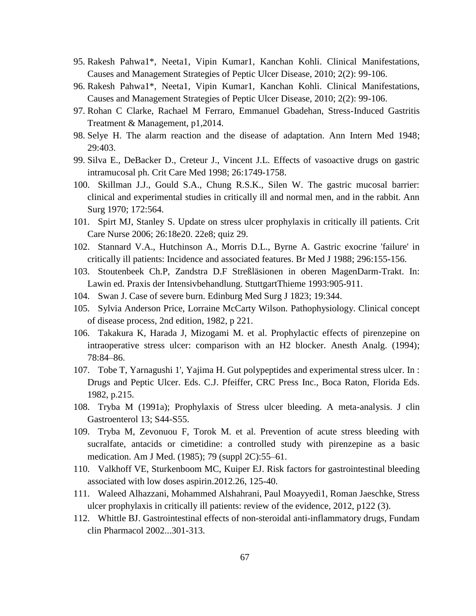- 95. Rakesh Pahwa1\*, Neeta1, Vipin Kumar1, Kanchan Kohli. Clinical Manifestations, Causes and Management Strategies of Peptic Ulcer Disease, 2010; 2(2): 99-106.
- 96. Rakesh Pahwa1\*, Neeta1, Vipin Kumar1, Kanchan Kohli. Clinical Manifestations, Causes and Management Strategies of Peptic Ulcer Disease, 2010; 2(2): 99-106.
- 97. Rohan C Clarke, Rachael M Ferraro, Emmanuel Gbadehan, Stress-Induced Gastritis Treatment & Management, p1,2014.
- 98. Selye H. The alarm reaction and the disease of adaptation. Ann Intern Med 1948; 29:403.
- 99. Silva E., DeBacker D., Creteur J., Vincent J.L. Effects of vasoactive drugs on gastric intramucosal ph. Crit Care Med 1998; 26:1749-1758.
- 100. Skillman J.J., Gould S.A., Chung R.S.K., Silen W. The gastric mucosal barrier: clinical and experimental studies in critically ill and normal men, and in the rabbit. Ann Surg 1970; 172:564.
- 101. Spirt MJ, Stanley S. Update on stress ulcer prophylaxis in critically ill patients. Crit Care Nurse 2006; 26:18e20. 22e8; quiz 29.
- 102. Stannard V.A., Hutchinson A., Morris D.L., Byrne A. Gastric exocrine 'failure' in critically ill patients: Incidence and associated features. Br Med J 1988; 296:155-156.
- 103. Stoutenbeek Ch.P, Zandstra D.F Streßläsionen in oberen MagenDarm-Trakt. In: Lawin ed. Praxis der Intensivbehandlung. StuttgartThieme 1993:905-911.
- 104. Swan J. Case of severe burn. Edinburg Med Surg J 1823; 19:344.
- 105. Sylvia Anderson Price, Lorraine McCarty Wilson. Pathophysiology. Clinical concept of disease process, 2nd edition, 1982, p 221.
- 106. Takakura K, Harada J, Mizogami M. et al. Prophylactic effects of pirenzepine on intraoperative stress ulcer: comparison with an H2 blocker. Anesth Analg. (1994); 78:84–86.
- 107. Tobe T, Yarnagushi 1', Yajima H. Gut polypeptides and experimental stress ulcer. In : Drugs and Peptic Ulcer. Eds. C.J. Pfeiffer, CRC Press Inc., Boca Raton, Florida Eds. 1982, p.215.
- 108. Tryba M (1991a); Prophylaxis of Stress ulcer bleeding. A meta-analysis. J clin Gastroenterol 13; S44-S55.
- 109. Tryba M, Zevonuou F, Torok M. et al. Prevention of acute stress bleeding with sucralfate, antacids or cimetidine: a controlled study with pirenzepine as a basic medication. Am J Med. (1985); 79 (suppl 2C):55–61.
- 110. Valkhoff VE, Sturkenboom MC, Kuiper EJ. Risk factors for gastrointestinal bleeding associated with low doses aspirin.2012.26, 125-40.
- 111. Waleed Alhazzani, Mohammed Alshahrani, Paul Moayyedi1, Roman Jaeschke, Stress ulcer prophylaxis in critically ill patients: review of the evidence, 2012, p122 (3).
- 112. Whittle BJ. Gastrointestinal effects of non-steroidal anti-inflammatory drugs, Fundam clin Pharmacol 2002...301-313.